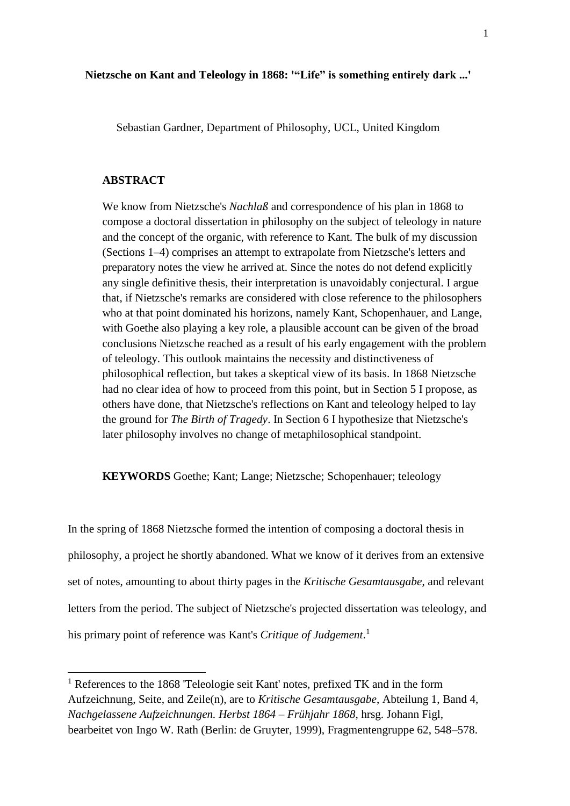Sebastian Gardner, Department of Philosophy, UCL, United Kingdom

## **ABSTRACT**

l

We know from Nietzsche's *Nachlaß* and correspondence of his plan in 1868 to compose a doctoral dissertation in philosophy on the subject of teleology in nature and the concept of the organic, with reference to Kant. The bulk of my discussion (Sections 1–4) comprises an attempt to extrapolate from Nietzsche's letters and preparatory notes the view he arrived at. Since the notes do not defend explicitly any single definitive thesis, their interpretation is unavoidably conjectural. I argue that, if Nietzsche's remarks are considered with close reference to the philosophers who at that point dominated his horizons, namely Kant, Schopenhauer, and Lange, with Goethe also playing a key role, a plausible account can be given of the broad conclusions Nietzsche reached as a result of his early engagement with the problem of teleology. This outlook maintains the necessity and distinctiveness of philosophical reflection, but takes a skeptical view of its basis. In 1868 Nietzsche had no clear idea of how to proceed from this point, but in Section 5 I propose, as others have done, that Nietzsche's reflections on Kant and teleology helped to lay the ground for *The Birth of Tragedy*. In Section 6 I hypothesize that Nietzsche's later philosophy involves no change of metaphilosophical standpoint.

**KEYWORDS** Goethe; Kant; Lange; Nietzsche; Schopenhauer; teleology

In the spring of 1868 Nietzsche formed the intention of composing a doctoral thesis in philosophy, a project he shortly abandoned. What we know of it derives from an extensive set of notes, amounting to about thirty pages in the *Kritische Gesamtausgabe*, and relevant letters from the period. The subject of Nietzsche's projected dissertation was teleology, and his primary point of reference was Kant's *Critique of Judgement*. 1

<sup>1</sup> References to the 1868 'Teleologie seit Kant' notes, prefixed TK and in the form Aufzeichnung, Seite, and Zeile(n), are to *Kritische Gesamtausgabe*, Abteilung 1, Band 4, *Nachgelassene Aufzeichnungen. Herbst 1864 – Frühjahr 1868*, hrsg. Johann Figl, bearbeitet von Ingo W. Rath (Berlin: de Gruyter, 1999), Fragmentengruppe 62, 548–578.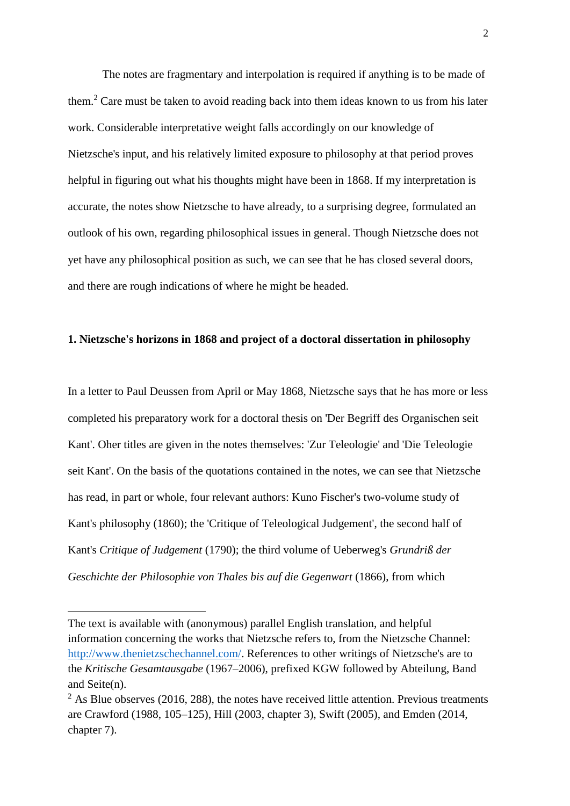The notes are fragmentary and interpolation is required if anything is to be made of them. <sup>2</sup> Care must be taken to avoid reading back into them ideas known to us from his later work. Considerable interpretative weight falls accordingly on our knowledge of Nietzsche's input, and his relatively limited exposure to philosophy at that period proves helpful in figuring out what his thoughts might have been in 1868. If my interpretation is accurate, the notes show Nietzsche to have already, to a surprising degree, formulated an outlook of his own, regarding philosophical issues in general. Though Nietzsche does not yet have any philosophical position as such, we can see that he has closed several doors, and there are rough indications of where he might be headed.

## **1. Nietzsche's horizons in 1868 and project of a doctoral dissertation in philosophy**

In a letter to Paul Deussen from April or May 1868, Nietzsche says that he has more or less completed his preparatory work for a doctoral thesis on 'Der Begriff des Organischen seit Kant'. Oher titles are given in the notes themselves: 'Zur Teleologie' and 'Die Teleologie seit Kant'. On the basis of the quotations contained in the notes, we can see that Nietzsche has read, in part or whole, four relevant authors: Kuno Fischer's two-volume study of Kant's philosophy (1860); the 'Critique of Teleological Judgement', the second half of Kant's *Critique of Judgement* (1790); the third volume of Ueberweg's *Grundriß der Geschichte der Philosophie von Thales bis auf die Gegenwart* (1866), from which

 $\overline{a}$ 

The text is available with (anonymous) parallel English translation, and helpful information concerning the works that Nietzsche refers to, from the Nietzsche Channel: [http://www.thenietzschechannel.com/.](http://www.thenietzschechannel.com/) References to other writings of Nietzsche's are to the *Kritische Gesamtausgabe* (1967–2006), prefixed KGW followed by Abteilung, Band and Seite(n).

 $2$  As Blue observes (2016, 288), the notes have received little attention. Previous treatments are Crawford (1988, 105–125), Hill (2003, chapter 3), Swift (2005), and Emden (2014, chapter 7).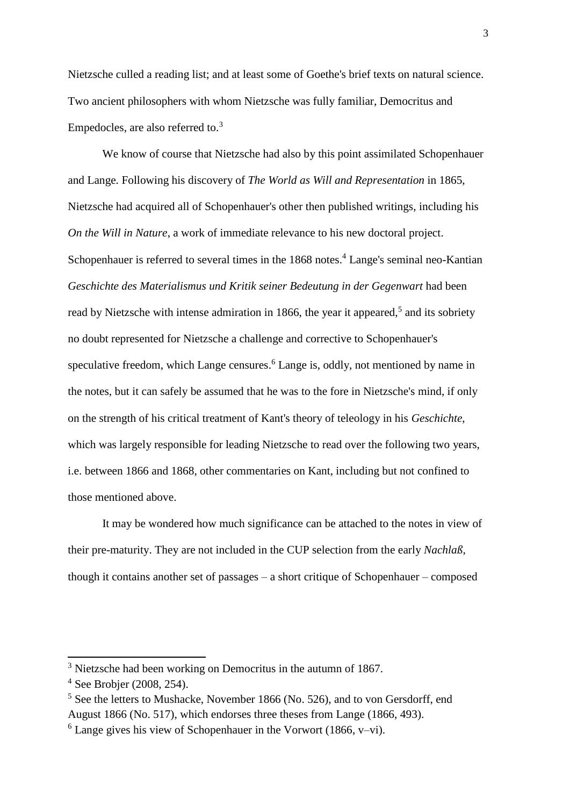Nietzsche culled a reading list; and at least some of Goethe's brief texts on natural science. Two ancient philosophers with whom Nietzsche was fully familiar, Democritus and Empedocles, are also referred to.<sup>3</sup>

We know of course that Nietzsche had also by this point assimilated Schopenhauer and Lange. Following his discovery of *The World as Will and Representation* in 1865, Nietzsche had acquired all of Schopenhauer's other then published writings, including his *On the Will in Nature*, a work of immediate relevance to his new doctoral project. Schopenhauer is referred to several times in the 1868 notes.<sup>4</sup> Lange's seminal neo-Kantian *Geschichte des Materialismus und Kritik seiner Bedeutung in der Gegenwart* had been read by Nietzsche with intense admiration in 1866, the year it appeared,<sup>5</sup> and its sobriety no doubt represented for Nietzsche a challenge and corrective to Schopenhauer's speculative freedom, which Lange censures.<sup>6</sup> Lange is, oddly, not mentioned by name in the notes, but it can safely be assumed that he was to the fore in Nietzsche's mind, if only on the strength of his critical treatment of Kant's theory of teleology in his *Geschichte*, which was largely responsible for leading Nietzsche to read over the following two years, i.e. between 1866 and 1868, other commentaries on Kant, including but not confined to those mentioned above.

It may be wondered how much significance can be attached to the notes in view of their pre-maturity. They are not included in the CUP selection from the early *Nachlaß*, though it contains another set of passages – a short critique of Schopenhauer – composed

<sup>&</sup>lt;sup>3</sup> Nietzsche had been working on Democritus in the autumn of 1867.

<sup>4</sup> See Brobjer (2008, 254).

<sup>&</sup>lt;sup>5</sup> See the letters to Mushacke, November 1866 (No. 526), and to von Gersdorff, end August 1866 (No. 517), which endorses three theses from Lange (1866, 493).

 $6$  Lange gives his view of Schopenhauer in the Vorwort (1866, v–vi).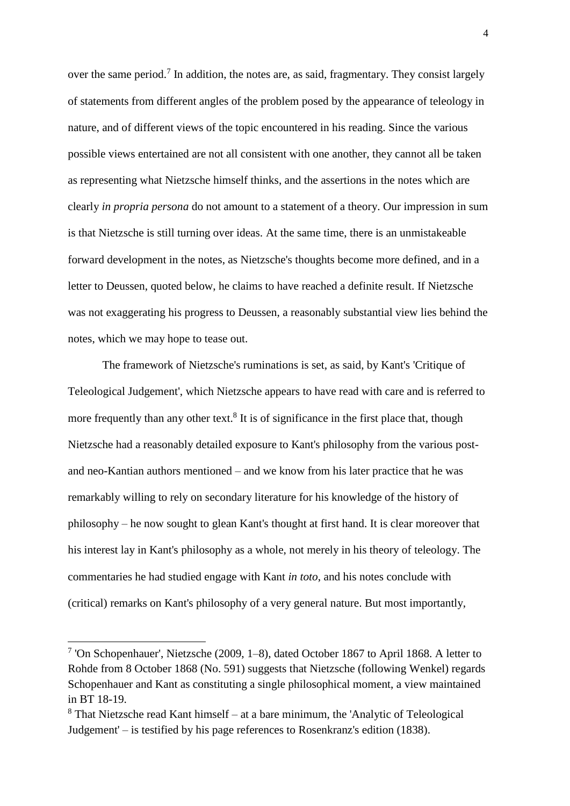over the same period.<sup>7</sup> In addition, the notes are, as said, fragmentary. They consist largely of statements from different angles of the problem posed by the appearance of teleology in nature, and of different views of the topic encountered in his reading. Since the various possible views entertained are not all consistent with one another, they cannot all be taken as representing what Nietzsche himself thinks, and the assertions in the notes which are clearly *in propria persona* do not amount to a statement of a theory. Our impression in sum is that Nietzsche is still turning over ideas. At the same time, there is an unmistakeable forward development in the notes, as Nietzsche's thoughts become more defined, and in a letter to Deussen, quoted below, he claims to have reached a definite result. If Nietzsche was not exaggerating his progress to Deussen, a reasonably substantial view lies behind the notes, which we may hope to tease out.

The framework of Nietzsche's ruminations is set, as said, by Kant's 'Critique of Teleological Judgement', which Nietzsche appears to have read with care and is referred to more frequently than any other text.<sup>8</sup> It is of significance in the first place that, though Nietzsche had a reasonably detailed exposure to Kant's philosophy from the various postand neo-Kantian authors mentioned – and we know from his later practice that he was remarkably willing to rely on secondary literature for his knowledge of the history of philosophy – he now sought to glean Kant's thought at first hand. It is clear moreover that his interest lay in Kant's philosophy as a whole, not merely in his theory of teleology. The commentaries he had studied engage with Kant *in toto*, and his notes conclude with (critical) remarks on Kant's philosophy of a very general nature. But most importantly,

<sup>7</sup> 'On Schopenhauer', Nietzsche (2009, 1–8), dated October 1867 to April 1868. A letter to Rohde from 8 October 1868 (No. 591) suggests that Nietzsche (following Wenkel) regards Schopenhauer and Kant as constituting a single philosophical moment, a view maintained in BT 18-19.

<sup>8</sup> That Nietzsche read Kant himself – at a bare minimum, the 'Analytic of Teleological Judgement' – is testified by his page references to Rosenkranz's edition (1838).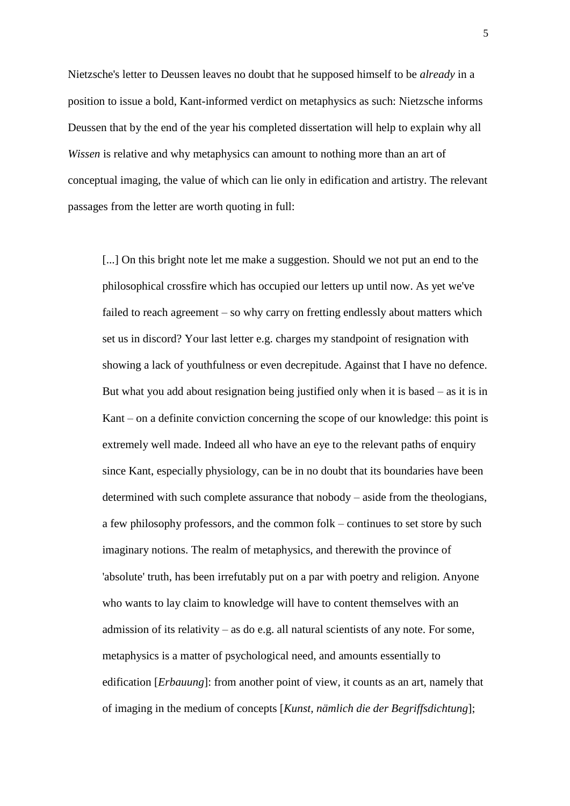Nietzsche's letter to Deussen leaves no doubt that he supposed himself to be *already* in a position to issue a bold, Kant-informed verdict on metaphysics as such: Nietzsche informs Deussen that by the end of the year his completed dissertation will help to explain why all *Wissen* is relative and why metaphysics can amount to nothing more than an art of conceptual imaging, the value of which can lie only in edification and artistry. The relevant passages from the letter are worth quoting in full:

[...] On this bright note let me make a suggestion. Should we not put an end to the philosophical crossfire which has occupied our letters up until now. As yet we've failed to reach agreement – so why carry on fretting endlessly about matters which set us in discord? Your last letter e.g. charges my standpoint of resignation with showing a lack of youthfulness or even decrepitude. Against that I have no defence. But what you add about resignation being justified only when it is based – as it is in Kant – on a definite conviction concerning the scope of our knowledge: this point is extremely well made. Indeed all who have an eye to the relevant paths of enquiry since Kant, especially physiology, can be in no doubt that its boundaries have been determined with such complete assurance that nobody – aside from the theologians, a few philosophy professors, and the common folk – continues to set store by such imaginary notions. The realm of metaphysics, and therewith the province of 'absolute' truth, has been irrefutably put on a par with poetry and religion. Anyone who wants to lay claim to knowledge will have to content themselves with an admission of its relativity – as do e.g. all natural scientists of any note. For some, metaphysics is a matter of psychological need, and amounts essentially to edification [*Erbauung*]: from another point of view, it counts as an art, namely that of imaging in the medium of concepts [*Kunst, nämlich die der Begriffsdichtung*];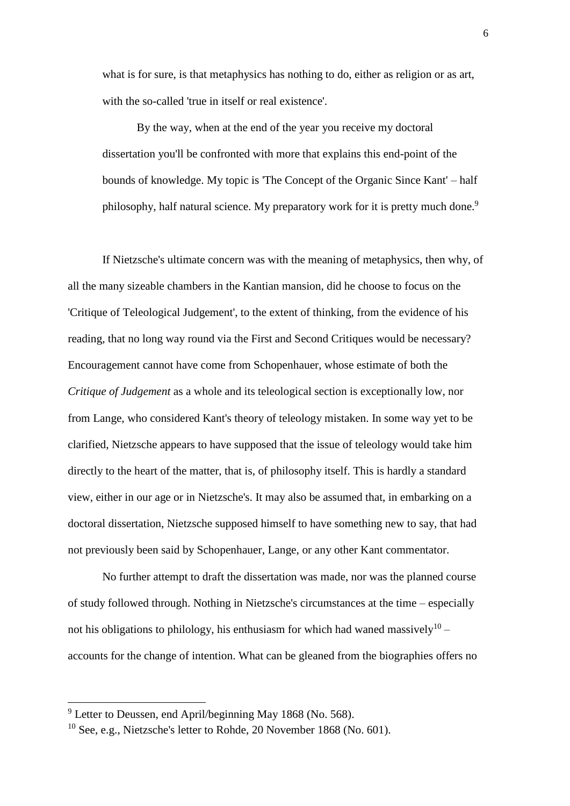what is for sure, is that metaphysics has nothing to do, either as religion or as art, with the so-called 'true in itself or real existence'.

By the way, when at the end of the year you receive my doctoral dissertation you'll be confronted with more that explains this end-point of the bounds of knowledge. My topic is 'The Concept of the Organic Since Kant' – half philosophy, half natural science. My preparatory work for it is pretty much done.<sup>9</sup>

If Nietzsche's ultimate concern was with the meaning of metaphysics, then why, of all the many sizeable chambers in the Kantian mansion, did he choose to focus on the 'Critique of Teleological Judgement', to the extent of thinking, from the evidence of his reading, that no long way round via the First and Second Critiques would be necessary? Encouragement cannot have come from Schopenhauer, whose estimate of both the *Critique of Judgement* as a whole and its teleological section is exceptionally low, nor from Lange, who considered Kant's theory of teleology mistaken. In some way yet to be clarified, Nietzsche appears to have supposed that the issue of teleology would take him directly to the heart of the matter, that is, of philosophy itself. This is hardly a standard view, either in our age or in Nietzsche's. It may also be assumed that, in embarking on a doctoral dissertation, Nietzsche supposed himself to have something new to say, that had not previously been said by Schopenhauer, Lange, or any other Kant commentator.

No further attempt to draft the dissertation was made, nor was the planned course of study followed through. Nothing in Nietzsche's circumstances at the time – especially not his obligations to philology, his enthusiasm for which had waned massively $^{10}$  accounts for the change of intention. What can be gleaned from the biographies offers no

<sup>&</sup>lt;sup>9</sup> Letter to Deussen, end April/beginning May 1868 (No. 568).

<sup>10</sup> See, e.g., Nietzsche's letter to Rohde, 20 November 1868 (No. 601).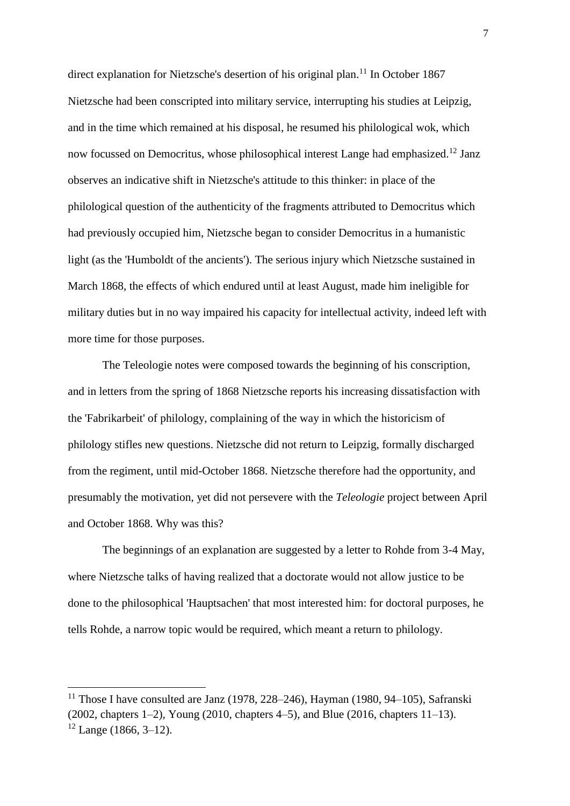direct explanation for Nietzsche's desertion of his original plan.<sup>11</sup> In October 1867 Nietzsche had been conscripted into military service, interrupting his studies at Leipzig, and in the time which remained at his disposal, he resumed his philological wok, which now focussed on Democritus, whose philosophical interest Lange had emphasized.<sup>12</sup> Janz observes an indicative shift in Nietzsche's attitude to this thinker: in place of the philological question of the authenticity of the fragments attributed to Democritus which had previously occupied him, Nietzsche began to consider Democritus in a humanistic light (as the 'Humboldt of the ancients'). The serious injury which Nietzsche sustained in March 1868, the effects of which endured until at least August, made him ineligible for military duties but in no way impaired his capacity for intellectual activity, indeed left with more time for those purposes.

The Teleologie notes were composed towards the beginning of his conscription, and in letters from the spring of 1868 Nietzsche reports his increasing dissatisfaction with the 'Fabrikarbeit' of philology, complaining of the way in which the historicism of philology stifles new questions. Nietzsche did not return to Leipzig, formally discharged from the regiment, until mid-October 1868. Nietzsche therefore had the opportunity, and presumably the motivation, yet did not persevere with the *Teleologie* project between April and October 1868. Why was this?

The beginnings of an explanation are suggested by a letter to Rohde from 3-4 May, where Nietzsche talks of having realized that a doctorate would not allow justice to be done to the philosophical 'Hauptsachen' that most interested him: for doctoral purposes, he tells Rohde, a narrow topic would be required, which meant a return to philology.

<sup>&</sup>lt;sup>11</sup> Those I have consulted are Janz (1978, 228–246), Hayman (1980, 94–105), Safranski (2002, chapters 1–2), Young (2010, chapters 4–5), and Blue (2016, chapters 11–13).  $12$  Lange (1866, 3–12).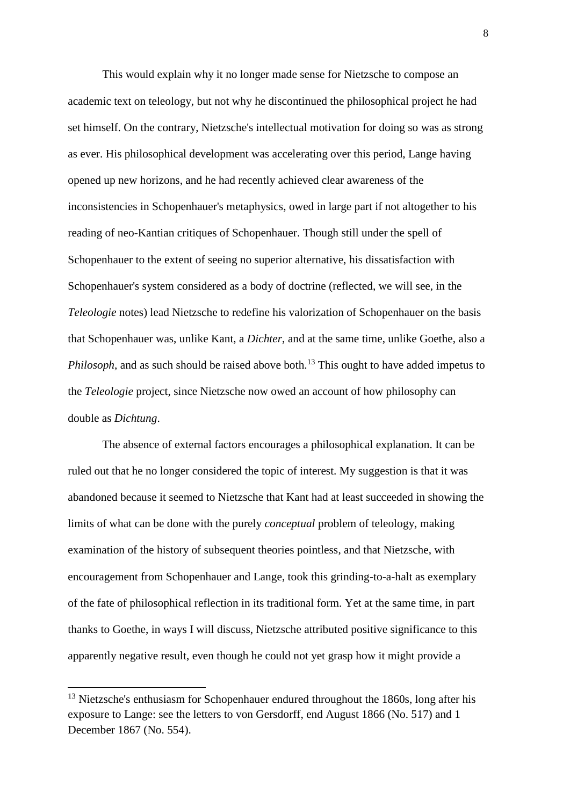This would explain why it no longer made sense for Nietzsche to compose an academic text on teleology, but not why he discontinued the philosophical project he had set himself. On the contrary, Nietzsche's intellectual motivation for doing so was as strong as ever. His philosophical development was accelerating over this period, Lange having opened up new horizons, and he had recently achieved clear awareness of the inconsistencies in Schopenhauer's metaphysics, owed in large part if not altogether to his reading of neo-Kantian critiques of Schopenhauer. Though still under the spell of Schopenhauer to the extent of seeing no superior alternative, his dissatisfaction with Schopenhauer's system considered as a body of doctrine (reflected, we will see, in the *Teleologie* notes) lead Nietzsche to redefine his valorization of Schopenhauer on the basis that Schopenhauer was, unlike Kant, a *Dichter*, and at the same time, unlike Goethe, also a *Philosoph*, and as such should be raised above both.<sup>13</sup> This ought to have added impetus to the *Teleologie* project, since Nietzsche now owed an account of how philosophy can double as *Dichtung*.

The absence of external factors encourages a philosophical explanation. It can be ruled out that he no longer considered the topic of interest. My suggestion is that it was abandoned because it seemed to Nietzsche that Kant had at least succeeded in showing the limits of what can be done with the purely *conceptual* problem of teleology, making examination of the history of subsequent theories pointless, and that Nietzsche, with encouragement from Schopenhauer and Lange, took this grinding-to-a-halt as exemplary of the fate of philosophical reflection in its traditional form. Yet at the same time, in part thanks to Goethe, in ways I will discuss, Nietzsche attributed positive significance to this apparently negative result, even though he could not yet grasp how it might provide a

<sup>&</sup>lt;sup>13</sup> Nietzsche's enthusiasm for Schopenhauer endured throughout the 1860s, long after his exposure to Lange: see the letters to von Gersdorff, end August 1866 (No. 517) and 1 December 1867 (No. 554).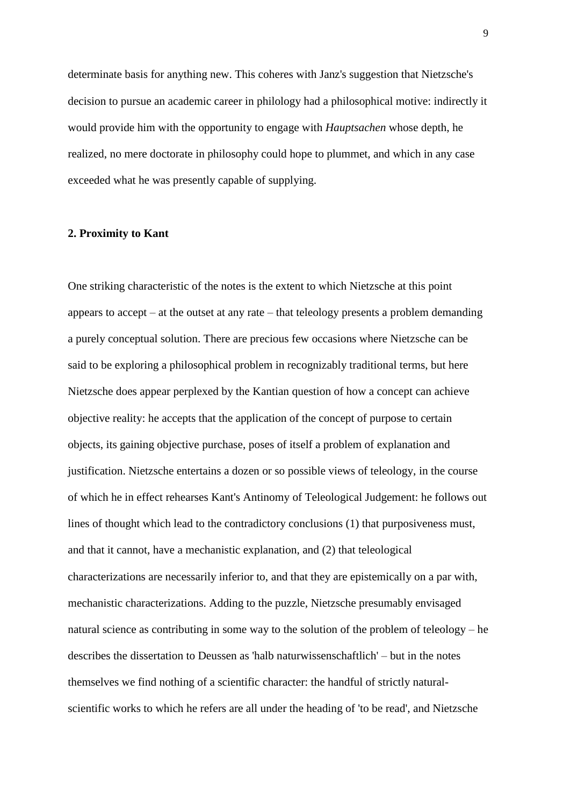determinate basis for anything new. This coheres with Janz's suggestion that Nietzsche's decision to pursue an academic career in philology had a philosophical motive: indirectly it would provide him with the opportunity to engage with *Hauptsachen* whose depth, he realized, no mere doctorate in philosophy could hope to plummet, and which in any case exceeded what he was presently capable of supplying.

#### **2. Proximity to Kant**

One striking characteristic of the notes is the extent to which Nietzsche at this point appears to accept – at the outset at any rate – that teleology presents a problem demanding a purely conceptual solution. There are precious few occasions where Nietzsche can be said to be exploring a philosophical problem in recognizably traditional terms, but here Nietzsche does appear perplexed by the Kantian question of how a concept can achieve objective reality: he accepts that the application of the concept of purpose to certain objects, its gaining objective purchase, poses of itself a problem of explanation and justification. Nietzsche entertains a dozen or so possible views of teleology, in the course of which he in effect rehearses Kant's Antinomy of Teleological Judgement: he follows out lines of thought which lead to the contradictory conclusions (1) that purposiveness must, and that it cannot, have a mechanistic explanation, and (2) that teleological characterizations are necessarily inferior to, and that they are epistemically on a par with, mechanistic characterizations. Adding to the puzzle, Nietzsche presumably envisaged natural science as contributing in some way to the solution of the problem of teleology – he describes the dissertation to Deussen as 'halb naturwissenschaftlich' – but in the notes themselves we find nothing of a scientific character: the handful of strictly naturalscientific works to which he refers are all under the heading of 'to be read', and Nietzsche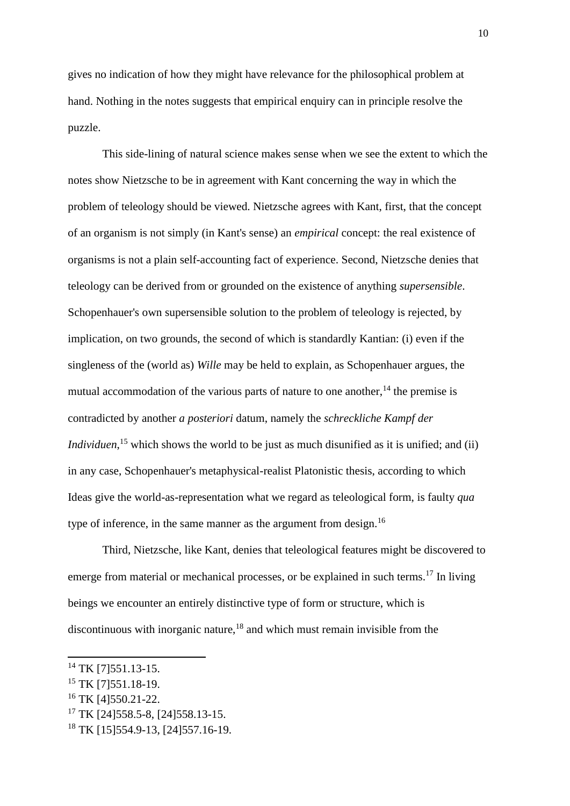gives no indication of how they might have relevance for the philosophical problem at hand. Nothing in the notes suggests that empirical enquiry can in principle resolve the puzzle.

This side-lining of natural science makes sense when we see the extent to which the notes show Nietzsche to be in agreement with Kant concerning the way in which the problem of teleology should be viewed. Nietzsche agrees with Kant, first, that the concept of an organism is not simply (in Kant's sense) an *empirical* concept: the real existence of organisms is not a plain self-accounting fact of experience. Second, Nietzsche denies that teleology can be derived from or grounded on the existence of anything *supersensible*. Schopenhauer's own supersensible solution to the problem of teleology is rejected, by implication, on two grounds, the second of which is standardly Kantian: (i) even if the singleness of the (world as) *Wille* may be held to explain, as Schopenhauer argues, the mutual accommodation of the various parts of nature to one another,  $14$  the premise is contradicted by another *a posteriori* datum, namely the *schreckliche Kampf der Individuen*,<sup>15</sup> which shows the world to be just as much disunified as it is unified; and (ii) in any case, Schopenhauer's metaphysical-realist Platonistic thesis, according to which Ideas give the world-as-representation what we regard as teleological form, is faulty *qua* type of inference, in the same manner as the argument from design.<sup>16</sup>

Third, Nietzsche, like Kant, denies that teleological features might be discovered to emerge from material or mechanical processes, or be explained in such terms.<sup>17</sup> In living beings we encounter an entirely distinctive type of form or structure, which is discontinuous with inorganic nature, $18$  and which must remain invisible from the

<sup>&</sup>lt;sup>14</sup> TK [7] 551.13-15.

<sup>&</sup>lt;sup>15</sup> TK [7] 551.18-19.

<sup>&</sup>lt;sup>16</sup> TK [4]550.21-22.

<sup>&</sup>lt;sup>17</sup> TK [24] 558.5-8, [24] 558.13-15.

<sup>18</sup> TK [15]554.9-13, [24]557.16-19.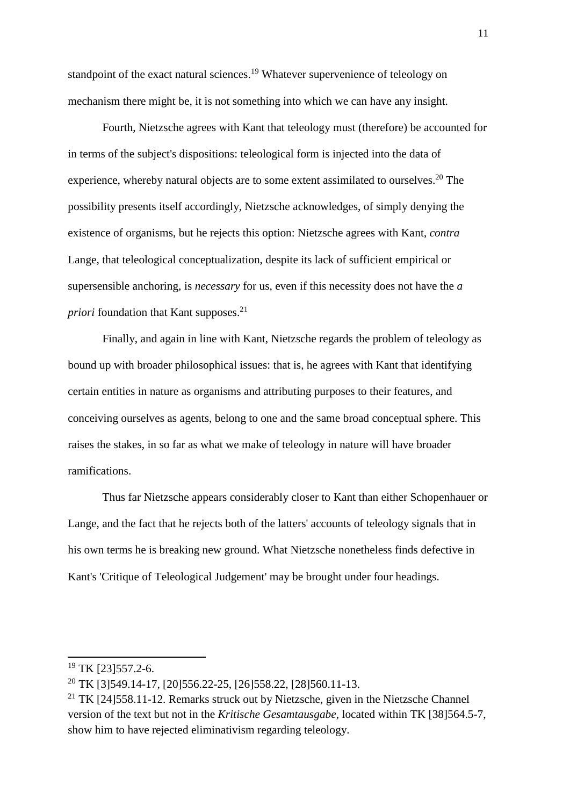standpoint of the exact natural sciences.<sup>19</sup> Whatever supervenience of teleology on mechanism there might be, it is not something into which we can have any insight.

Fourth, Nietzsche agrees with Kant that teleology must (therefore) be accounted for in terms of the subject's dispositions: teleological form is injected into the data of experience, whereby natural objects are to some extent assimilated to ourselves.<sup>20</sup> The possibility presents itself accordingly, Nietzsche acknowledges, of simply denying the existence of organisms, but he rejects this option: Nietzsche agrees with Kant, *contra*  Lange, that teleological conceptualization, despite its lack of sufficient empirical or supersensible anchoring, is *necessary* for us, even if this necessity does not have the *a priori* foundation that Kant supposes.<sup>21</sup>

Finally, and again in line with Kant, Nietzsche regards the problem of teleology as bound up with broader philosophical issues: that is, he agrees with Kant that identifying certain entities in nature as organisms and attributing purposes to their features, and conceiving ourselves as agents, belong to one and the same broad conceptual sphere. This raises the stakes, in so far as what we make of teleology in nature will have broader ramifications.

Thus far Nietzsche appears considerably closer to Kant than either Schopenhauer or Lange, and the fact that he rejects both of the latters' accounts of teleology signals that in his own terms he is breaking new ground. What Nietzsche nonetheless finds defective in Kant's 'Critique of Teleological Judgement' may be brought under four headings.

 $19$  TK [23] 557.2-6.

<sup>20</sup> TK [3]549.14-17, [20]556.22-25, [26]558.22, [28]560.11-13.

<sup>&</sup>lt;sup>21</sup> TK  $[24]$ 558.11-12. Remarks struck out by Nietzsche, given in the Nietzsche Channel version of the text but not in the *Kritische Gesamtausgabe*, located within TK [38]564.5-7, show him to have rejected eliminativism regarding teleology.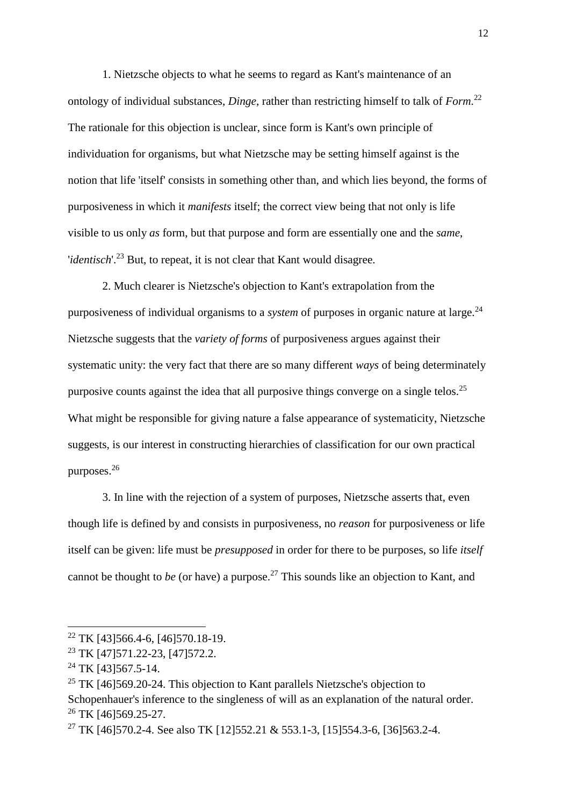1. Nietzsche objects to what he seems to regard as Kant's maintenance of an ontology of individual substances, *Dinge*, rather than restricting himself to talk of *Form*. 22 The rationale for this objection is unclear, since form is Kant's own principle of individuation for organisms, but what Nietzsche may be setting himself against is the notion that life 'itself' consists in something other than, and which lies beyond, the forms of purposiveness in which it *manifests* itself; the correct view being that not only is life visible to us only *as* form, but that purpose and form are essentially one and the *same*, '*identisch*'.<sup>23</sup> But, to repeat, it is not clear that Kant would disagree.

2. Much clearer is Nietzsche's objection to Kant's extrapolation from the purposiveness of individual organisms to a *system* of purposes in organic nature at large.<sup>24</sup> Nietzsche suggests that the *variety of forms* of purposiveness argues against their systematic unity: the very fact that there are so many different *ways* of being determinately purposive counts against the idea that all purposive things converge on a single telos.<sup>25</sup> What might be responsible for giving nature a false appearance of systematicity, Nietzsche suggests, is our interest in constructing hierarchies of classification for our own practical purposes.<sup>26</sup>

3. In line with the rejection of a system of purposes, Nietzsche asserts that, even though life is defined by and consists in purposiveness, no *reason* for purposiveness or life itself can be given: life must be *presupposed* in order for there to be purposes, so life *itself* cannot be thought to *be* (or have) a purpose.<sup>27</sup> This sounds like an objection to Kant, and

<sup>&</sup>lt;sup>22</sup> TK [43] 566.4-6, [46] 570.18-19.

<sup>23</sup> TK [47]571.22-23, [47]572.2.

 $^{24}$  TK [43]567.5-14.

<sup>&</sup>lt;sup>25</sup> TK [46] 569.20-24. This objection to Kant parallels Nietzsche's objection to Schopenhauer's inference to the singleness of will as an explanation of the natural order. <sup>26</sup> TK [46]569.25-27.

<sup>&</sup>lt;sup>27</sup> TK [46]570.2-4. See also TK [12]552.21 & 553.1-3, [15]554.3-6, [36]563.2-4.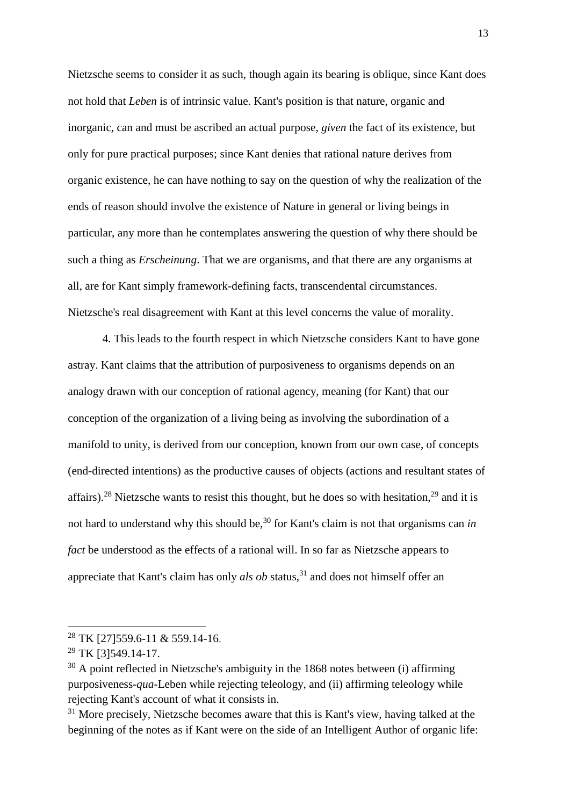Nietzsche seems to consider it as such, though again its bearing is oblique, since Kant does not hold that *Leben* is of intrinsic value. Kant's position is that nature, organic and inorganic, can and must be ascribed an actual purpose, *given* the fact of its existence, but only for pure practical purposes; since Kant denies that rational nature derives from organic existence, he can have nothing to say on the question of why the realization of the ends of reason should involve the existence of Nature in general or living beings in particular, any more than he contemplates answering the question of why there should be such a thing as *Erscheinung*. That we are organisms, and that there are any organisms at all, are for Kant simply framework-defining facts, transcendental circumstances. Nietzsche's real disagreement with Kant at this level concerns the value of morality.

4. This leads to the fourth respect in which Nietzsche considers Kant to have gone astray. Kant claims that the attribution of purposiveness to organisms depends on an analogy drawn with our conception of rational agency, meaning (for Kant) that our conception of the organization of a living being as involving the subordination of a manifold to unity, is derived from our conception, known from our own case, of concepts (end-directed intentions) as the productive causes of objects (actions and resultant states of affairs).<sup>28</sup> Nietzsche wants to resist this thought, but he does so with hesitation,<sup>29</sup> and it is not hard to understand why this should be,<sup>30</sup> for Kant's claim is not that organisms can *in fact* be understood as the effects of a rational will. In so far as Nietzsche appears to appreciate that Kant's claim has only *als ob* status, <sup>31</sup> and does not himself offer an

<sup>&</sup>lt;sup>28</sup> TK [27] 559.6-11 & 559.14-16.

<sup>&</sup>lt;sup>29</sup> TK [3]549.14-17.

 $30$  A point reflected in Nietzsche's ambiguity in the 1868 notes between (i) affirming purposiveness-*qua*-Leben while rejecting teleology, and (ii) affirming teleology while rejecting Kant's account of what it consists in.

<sup>&</sup>lt;sup>31</sup> More precisely, Nietzsche becomes aware that this is Kant's view, having talked at the beginning of the notes as if Kant were on the side of an Intelligent Author of organic life: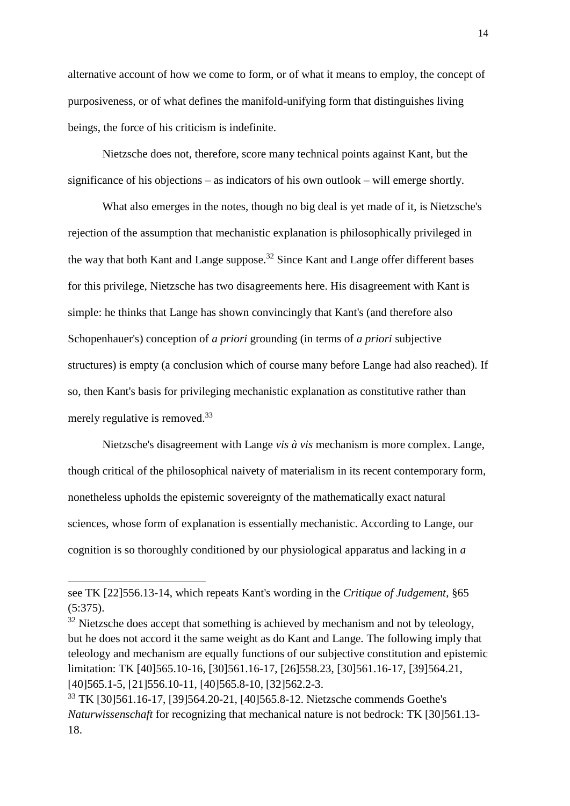alternative account of how we come to form, or of what it means to employ, the concept of purposiveness, or of what defines the manifold-unifying form that distinguishes living beings, the force of his criticism is indefinite.

Nietzsche does not, therefore, score many technical points against Kant, but the significance of his objections – as indicators of his own outlook – will emerge shortly.

What also emerges in the notes, though no big deal is yet made of it, is Nietzsche's rejection of the assumption that mechanistic explanation is philosophically privileged in the way that both Kant and Lange suppose.<sup>32</sup> Since Kant and Lange offer different bases for this privilege, Nietzsche has two disagreements here. His disagreement with Kant is simple: he thinks that Lange has shown convincingly that Kant's (and therefore also Schopenhauer's) conception of *a priori* grounding (in terms of *a priori* subjective structures) is empty (a conclusion which of course many before Lange had also reached). If so, then Kant's basis for privileging mechanistic explanation as constitutive rather than merely regulative is removed.<sup>33</sup>

Nietzsche's disagreement with Lange *vis à vis* mechanism is more complex. Lange, though critical of the philosophical naivety of materialism in its recent contemporary form, nonetheless upholds the epistemic sovereignty of the mathematically exact natural sciences, whose form of explanation is essentially mechanistic. According to Lange, our cognition is so thoroughly conditioned by our physiological apparatus and lacking in *a* 

see TK [22]556.13-14, which repeats Kant's wording in the *Critique of Judgement*, §65 (5:375).

 $32$  Nietzsche does accept that something is achieved by mechanism and not by teleology, but he does not accord it the same weight as do Kant and Lange. The following imply that teleology and mechanism are equally functions of our subjective constitution and epistemic limitation: TK [40]565.10-16, [30]561.16-17, [26]558.23, [30]561.16-17, [39]564.21, [40]565.1-5, [21]556.10-11, [40]565.8-10, [32]562.2-3.

<sup>33</sup> TK [30]561.16-17, [39]564.20-21, [40]565.8-12. Nietzsche commends Goethe's *Naturwissenschaft* for recognizing that mechanical nature is not bedrock: TK [30]561.13- 18.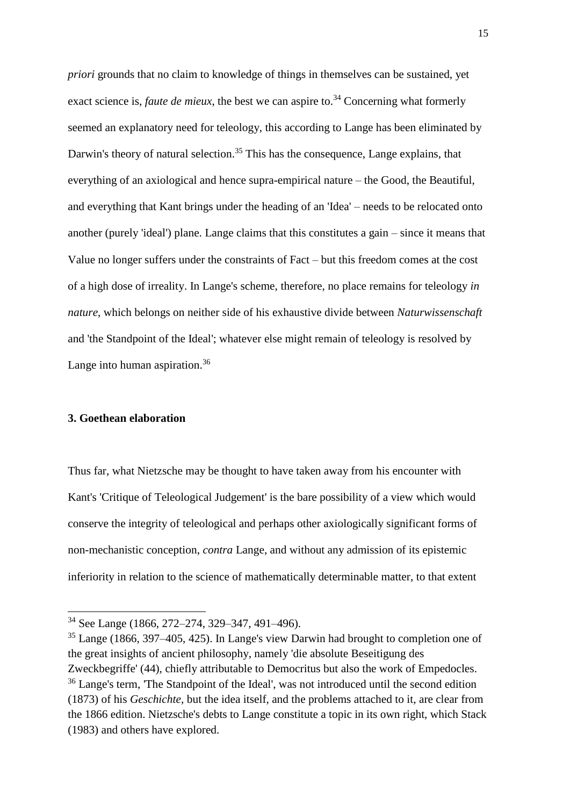*priori* grounds that no claim to knowledge of things in themselves can be sustained, yet exact science is, *faute de mieux*, the best we can aspire to.<sup>34</sup> Concerning what formerly seemed an explanatory need for teleology, this according to Lange has been eliminated by Darwin's theory of natural selection.<sup>35</sup> This has the consequence, Lange explains, that everything of an axiological and hence supra-empirical nature – the Good, the Beautiful, and everything that Kant brings under the heading of an 'Idea' – needs to be relocated onto another (purely 'ideal') plane. Lange claims that this constitutes a gain – since it means that Value no longer suffers under the constraints of Fact – but this freedom comes at the cost of a high dose of irreality. In Lange's scheme, therefore, no place remains for teleology *in nature*, which belongs on neither side of his exhaustive divide between *Naturwissenschaft* and 'the Standpoint of the Ideal'; whatever else might remain of teleology is resolved by Lange into human aspiration.<sup>36</sup>

# **3. Goethean elaboration**

 $\overline{a}$ 

Thus far, what Nietzsche may be thought to have taken away from his encounter with Kant's 'Critique of Teleological Judgement' is the bare possibility of a view which would conserve the integrity of teleological and perhaps other axiologically significant forms of non-mechanistic conception, *contra* Lange, and without any admission of its epistemic inferiority in relation to the science of mathematically determinable matter, to that extent

<sup>34</sup> See Lange (1866, 272–274, 329–347, 491–496).

<sup>35</sup> Lange (1866, 397–405, 425). In Lange's view Darwin had brought to completion one of the great insights of ancient philosophy, namely 'die absolute Beseitigung des Zweckbegriffe' (44), chiefly attributable to Democritus but also the work of Empedocles. <sup>36</sup> Lange's term, 'The Standpoint of the Ideal', was not introduced until the second edition (1873) of his *Geschichte*, but the idea itself, and the problems attached to it, are clear from the 1866 edition. Nietzsche's debts to Lange constitute a topic in its own right, which Stack (1983) and others have explored.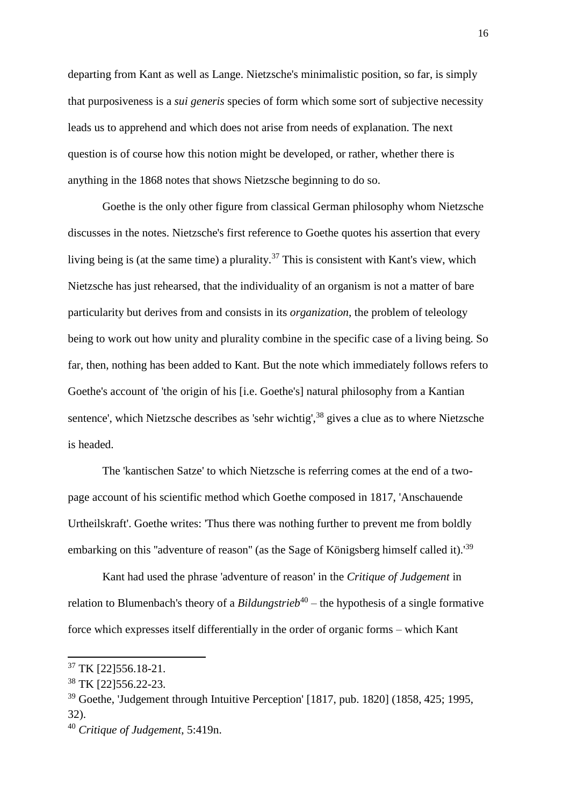departing from Kant as well as Lange. Nietzsche's minimalistic position, so far, is simply that purposiveness is a *sui generis* species of form which some sort of subjective necessity leads us to apprehend and which does not arise from needs of explanation. The next question is of course how this notion might be developed, or rather, whether there is anything in the 1868 notes that shows Nietzsche beginning to do so.

Goethe is the only other figure from classical German philosophy whom Nietzsche discusses in the notes. Nietzsche's first reference to Goethe quotes his assertion that every living being is (at the same time) a plurality.<sup>37</sup> This is consistent with Kant's view, which Nietzsche has just rehearsed, that the individuality of an organism is not a matter of bare particularity but derives from and consists in its *organization*, the problem of teleology being to work out how unity and plurality combine in the specific case of a living being. So far, then, nothing has been added to Kant. But the note which immediately follows refers to Goethe's account of 'the origin of his [i.e. Goethe's] natural philosophy from a Kantian sentence', which Nietzsche describes as 'sehr wichtig',<sup>38</sup> gives a clue as to where Nietzsche is headed.

The 'kantischen Satze' to which Nietzsche is referring comes at the end of a twopage account of his scientific method which Goethe composed in 1817, 'Anschauende Urtheilskraft'. Goethe writes: 'Thus there was nothing further to prevent me from boldly embarking on this ''adventure of reason'' (as the Sage of Königsberg himself called it).'<sup>39</sup>

Kant had used the phrase 'adventure of reason' in the *Critique of Judgement* in relation to Blumenbach's theory of a *Bildungstrieb*<sup>40</sup> – the hypothesis of a single formative force which expresses itself differentially in the order of organic forms – which Kant

<sup>37</sup> TK [22]556.18-21.

<sup>38</sup> TK [22]556.22-23.

<sup>39</sup> Goethe, 'Judgement through Intuitive Perception' [1817, pub. 1820] (1858, 425; 1995, 32).

<sup>40</sup> *Critique of Judgement*, 5:419n.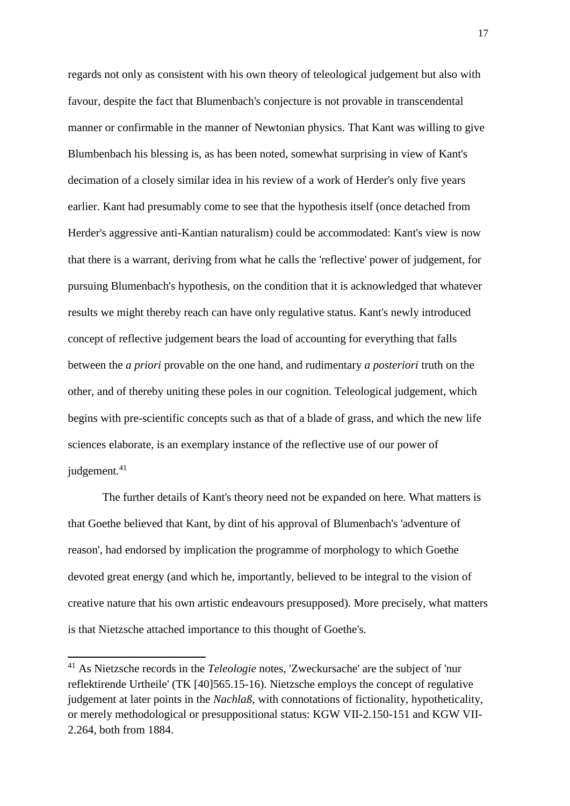regards not only as consistent with his own theory of teleological judgement but also with favour, despite the fact that Blumenbach's conjecture is not provable in transcendental manner or confirmable in the manner of Newtonian physics. That Kant was willing to give Blumbenbach his blessing is, as has been noted, somewhat surprising in view of Kant's decimation of a closely similar idea in his review of a work of Herder's only five years earlier. Kant had presumably come to see that the hypothesis itself (once detached from Herder's aggressive anti-Kantian naturalism) could be accommodated: Kant's view is now that there is a warrant, deriving from what he calls the 'reflective' power of judgement, for pursuing Blumenbach's hypothesis, on the condition that it is acknowledged that whatever results we might thereby reach can have only regulative status. Kant's newly introduced concept of reflective judgement bears the load of accounting for everything that falls between the *a priori* provable on the one hand, and rudimentary *a posteriori* truth on the other, and of thereby uniting these poles in our cognition. Teleological judgement, which begins with pre-scientific concepts such as that of a blade of grass, and which the new life sciences elaborate, is an exemplary instance of the reflective use of our power of judgement.<sup>41</sup>

The further details of Kant's theory need not be expanded on here. What matters is that Goethe believed that Kant, by dint of his approval of Blumenbach's 'adventure of reason', had endorsed by implication the programme of morphology to which Goethe devoted great energy (and which he, importantly, believed to be integral to the vision of creative nature that his own artistic endeavours presupposed). More precisely, what matters is that Nietzsche attached importance to this thought of Goethe's.

<sup>41</sup> As Nietzsche records in the *Teleologie* notes, 'Zweckursache' are the subject of 'nur reflektirende Urtheile' (TK [40]565.15-16). Nietzsche employs the concept of regulative judgement at later points in the *Nachlaß*, with connotations of fictionality, hypotheticality, or merely methodological or presuppositional status: KGW VII-2.150-151 and KGW VII-2.264, both from 1884.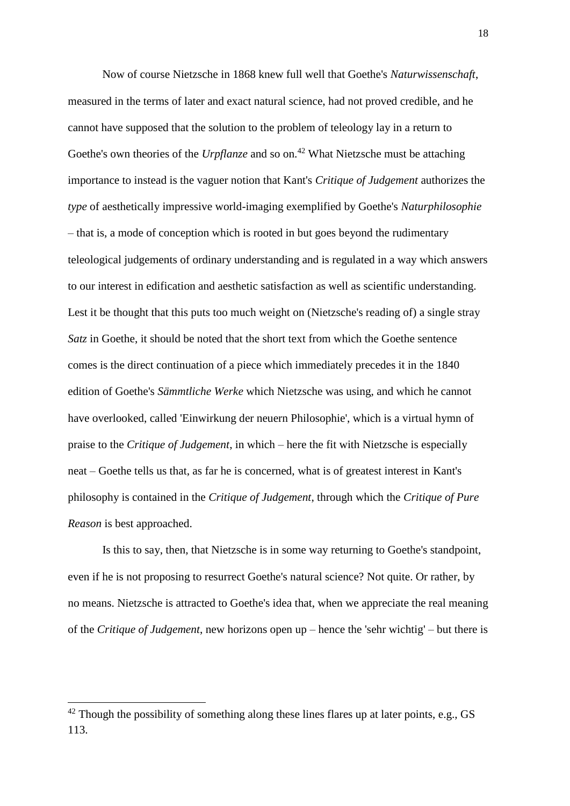Now of course Nietzsche in 1868 knew full well that Goethe's *Naturwissenschaft*, measured in the terms of later and exact natural science, had not proved credible, and he cannot have supposed that the solution to the problem of teleology lay in a return to Goethe's own theories of the *Urpflanze* and so on.<sup>42</sup> What Nietzsche must be attaching importance to instead is the vaguer notion that Kant's *Critique of Judgement* authorizes the *type* of aesthetically impressive world-imaging exemplified by Goethe's *Naturphilosophie* – that is, a mode of conception which is rooted in but goes beyond the rudimentary teleological judgements of ordinary understanding and is regulated in a way which answers to our interest in edification and aesthetic satisfaction as well as scientific understanding. Lest it be thought that this puts too much weight on (Nietzsche's reading of) a single stray *Satz* in Goethe, it should be noted that the short text from which the Goethe sentence comes is the direct continuation of a piece which immediately precedes it in the 1840 edition of Goethe's *Sämmtliche Werke* which Nietzsche was using, and which he cannot have overlooked, called 'Einwirkung der neuern Philosophie', which is a virtual hymn of praise to the *Critique of Judgement*, in which – here the fit with Nietzsche is especially neat – Goethe tells us that, as far he is concerned, what is of greatest interest in Kant's philosophy is contained in the *Critique of Judgement*, through which the *Critique of Pure Reason* is best approached.

Is this to say, then, that Nietzsche is in some way returning to Goethe's standpoint, even if he is not proposing to resurrect Goethe's natural science? Not quite. Or rather, by no means. Nietzsche is attracted to Goethe's idea that, when we appreciate the real meaning of the *Critique of Judgement*, new horizons open up – hence the 'sehr wichtig' – but there is

 $42$  Though the possibility of something along these lines flares up at later points, e.g., GS 113.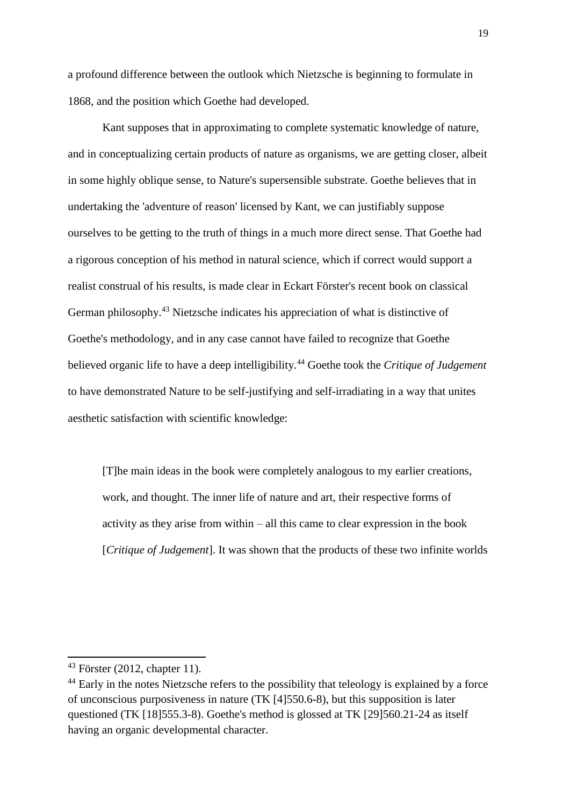a profound difference between the outlook which Nietzsche is beginning to formulate in 1868, and the position which Goethe had developed.

Kant supposes that in approximating to complete systematic knowledge of nature, and in conceptualizing certain products of nature as organisms, we are getting closer, albeit in some highly oblique sense, to Nature's supersensible substrate. Goethe believes that in undertaking the 'adventure of reason' licensed by Kant, we can justifiably suppose ourselves to be getting to the truth of things in a much more direct sense. That Goethe had a rigorous conception of his method in natural science, which if correct would support a realist construal of his results, is made clear in Eckart Förster's recent book on classical German philosophy.<sup>43</sup> Nietzsche indicates his appreciation of what is distinctive of Goethe's methodology, and in any case cannot have failed to recognize that Goethe believed organic life to have a deep intelligibility.<sup>44</sup> Goethe took the *Critique of Judgement* to have demonstrated Nature to be self-justifying and self-irradiating in a way that unites aesthetic satisfaction with scientific knowledge:

[T]he main ideas in the book were completely analogous to my earlier creations, work, and thought. The inner life of nature and art, their respective forms of activity as they arise from within – all this came to clear expression in the book [*Critique of Judgement*]. It was shown that the products of these two infinite worlds

 $43$  Förster (2012, chapter 11).

<sup>&</sup>lt;sup>44</sup> Early in the notes Nietzsche refers to the possibility that teleology is explained by a force of unconscious purposiveness in nature (TK [4]550.6-8), but this supposition is later questioned (TK [18]555.3-8). Goethe's method is glossed at TK [29]560.21-24 as itself having an organic developmental character.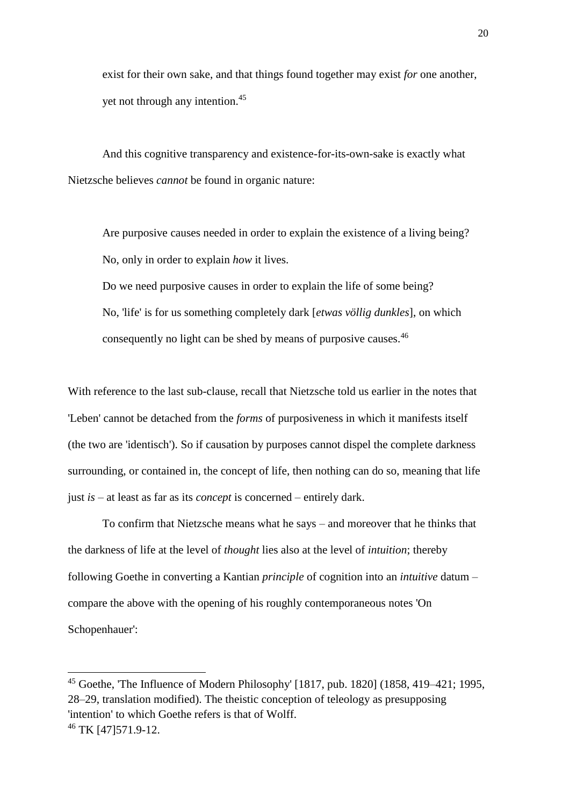exist for their own sake, and that things found together may exist *for* one another, yet not through any intention.<sup>45</sup>

And this cognitive transparency and existence-for-its-own-sake is exactly what Nietzsche believes *cannot* be found in organic nature:

Are purposive causes needed in order to explain the existence of a living being? No, only in order to explain *how* it lives.

Do we need purposive causes in order to explain the life of some being? No, 'life' is for us something completely dark [*etwas völlig dunkles*], on which consequently no light can be shed by means of purposive causes.<sup>46</sup>

With reference to the last sub-clause, recall that Nietzsche told us earlier in the notes that 'Leben' cannot be detached from the *forms* of purposiveness in which it manifests itself (the two are 'identisch'). So if causation by purposes cannot dispel the complete darkness surrounding, or contained in, the concept of life, then nothing can do so, meaning that life just *is* – at least as far as its *concept* is concerned – entirely dark.

To confirm that Nietzsche means what he says – and moreover that he thinks that the darkness of life at the level of *thought* lies also at the level of *intuition*; thereby following Goethe in converting a Kantian *principle* of cognition into an *intuitive* datum – compare the above with the opening of his roughly contemporaneous notes 'On Schopenhauer':

<sup>&</sup>lt;sup>45</sup> Goethe. The Influence of Modern Philosophy' [1817, pub. 1820] (1858, 419–421; 1995, 28–29, translation modified). The theistic conception of teleology as presupposing 'intention' to which Goethe refers is that of Wolff. <sup>46</sup> TK [47]571.9-12.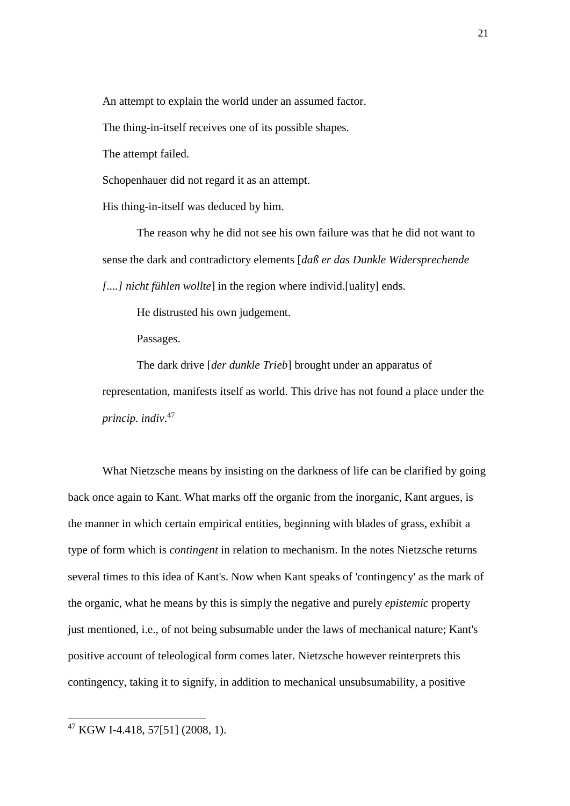An attempt to explain the world under an assumed factor.

The thing-in-itself receives one of its possible shapes.

The attempt failed.

Schopenhauer did not regard it as an attempt.

His thing-in-itself was deduced by him.

The reason why he did not see his own failure was that he did not want to sense the dark and contradictory elements [*daß er das Dunkle Widersprechende [....] nicht fühlen wollte*] in the region where individ.[uality] ends.

He distrusted his own judgement.

Passages.

The dark drive [*der dunkle Trieb*] brought under an apparatus of representation, manifests itself as world. This drive has not found a place under the *princip. indiv*. 47

What Nietzsche means by insisting on the darkness of life can be clarified by going back once again to Kant. What marks off the organic from the inorganic, Kant argues, is the manner in which certain empirical entities, beginning with blades of grass, exhibit a type of form which is *contingent* in relation to mechanism. In the notes Nietzsche returns several times to this idea of Kant's. Now when Kant speaks of 'contingency' as the mark of the organic, what he means by this is simply the negative and purely *epistemic* property just mentioned, i.e., of not being subsumable under the laws of mechanical nature; Kant's positive account of teleological form comes later. Nietzsche however reinterprets this contingency, taking it to signify, in addition to mechanical unsubsumability, a positive

 $^{47}$  KGW I-4.418, 57[51] (2008, 1).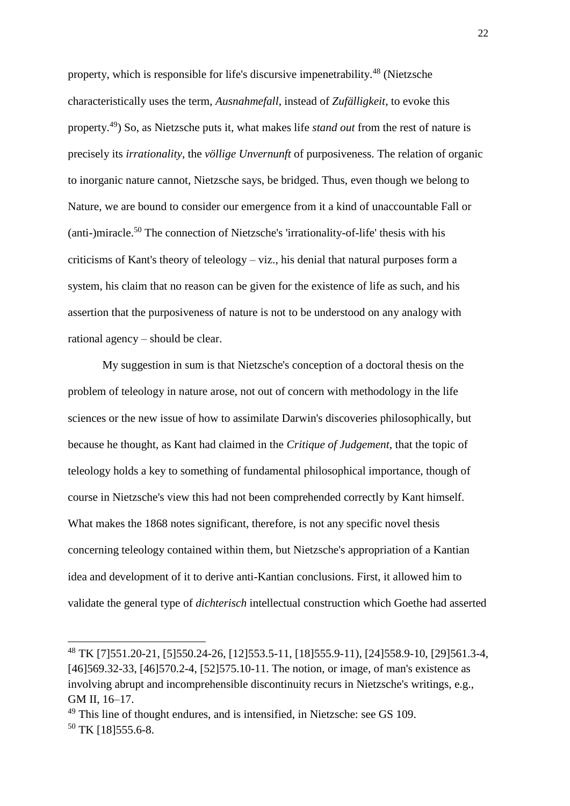property, which is responsible for life's discursive impenetrability.<sup>48</sup> (Nietzsche characteristically uses the term, *Ausnahmefall*, instead of *Zufälligkeit*, to evoke this property.<sup>49</sup>) So, as Nietzsche puts it, what makes life *stand out* from the rest of nature is precisely its *irrationality*, the *völlige Unvernunft* of purposiveness. The relation of organic to inorganic nature cannot, Nietzsche says, be bridged. Thus, even though we belong to Nature, we are bound to consider our emergence from it a kind of unaccountable Fall or (anti-)miracle.<sup>50</sup> The connection of Nietzsche's 'irrationality-of-life' thesis with his criticisms of Kant's theory of teleology – viz., his denial that natural purposes form a system, his claim that no reason can be given for the existence of life as such, and his assertion that the purposiveness of nature is not to be understood on any analogy with rational agency – should be clear.

My suggestion in sum is that Nietzsche's conception of a doctoral thesis on the problem of teleology in nature arose, not out of concern with methodology in the life sciences or the new issue of how to assimilate Darwin's discoveries philosophically, but because he thought, as Kant had claimed in the *Critique of Judgement*, that the topic of teleology holds a key to something of fundamental philosophical importance, though of course in Nietzsche's view this had not been comprehended correctly by Kant himself. What makes the 1868 notes significant, therefore, is not any specific novel thesis concerning teleology contained within them, but Nietzsche's appropriation of a Kantian idea and development of it to derive anti-Kantian conclusions. First, it allowed him to validate the general type of *dichterisch* intellectual construction which Goethe had asserted

<sup>48</sup> TK [7]551.20-21, [5]550.24-26, [12]553.5-11, [18]555.9-11), [24]558.9-10, [29]561.3-4, [46] 569.32-33, [46] 570.2-4, [52] 575.10-11. The notion, or image, of man's existence as involving abrupt and incomprehensible discontinuity recurs in Nietzsche's writings, e.g., GM II, 16–17.

<sup>&</sup>lt;sup>49</sup> This line of thought endures, and is intensified, in Nietzsche: see GS 109. <sup>50</sup> TK [18]555.6-8.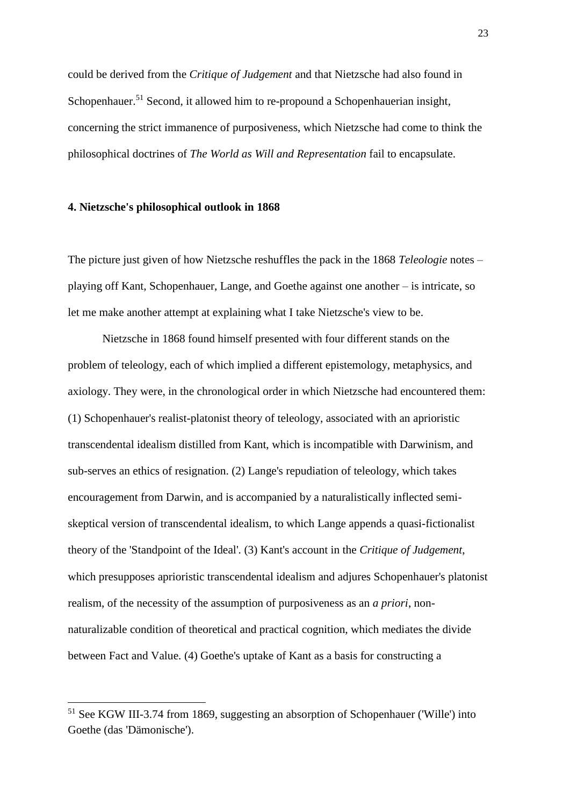could be derived from the *Critique of Judgement* and that Nietzsche had also found in Schopenhauer.<sup>51</sup> Second, it allowed him to re-propound a Schopenhauerian insight, concerning the strict immanence of purposiveness, which Nietzsche had come to think the philosophical doctrines of *The World as Will and Representation* fail to encapsulate.

#### **4. Nietzsche's philosophical outlook in 1868**

l

The picture just given of how Nietzsche reshuffles the pack in the 1868 *Teleologie* notes – playing off Kant, Schopenhauer, Lange, and Goethe against one another – is intricate, so let me make another attempt at explaining what I take Nietzsche's view to be.

Nietzsche in 1868 found himself presented with four different stands on the problem of teleology, each of which implied a different epistemology, metaphysics, and axiology. They were, in the chronological order in which Nietzsche had encountered them: (1) Schopenhauer's realist-platonist theory of teleology, associated with an aprioristic transcendental idealism distilled from Kant, which is incompatible with Darwinism, and sub-serves an ethics of resignation. (2) Lange's repudiation of teleology, which takes encouragement from Darwin, and is accompanied by a naturalistically inflected semiskeptical version of transcendental idealism, to which Lange appends a quasi-fictionalist theory of the 'Standpoint of the Ideal'. (3) Kant's account in the *Critique of Judgement*, which presupposes aprioristic transcendental idealism and adjures Schopenhauer's platonist realism, of the necessity of the assumption of purposiveness as an *a priori*, nonnaturalizable condition of theoretical and practical cognition, which mediates the divide between Fact and Value. (4) Goethe's uptake of Kant as a basis for constructing a

<sup>&</sup>lt;sup>51</sup> See KGW III-3.74 from 1869, suggesting an absorption of Schopenhauer ('Wille') into Goethe (das 'Dämonische').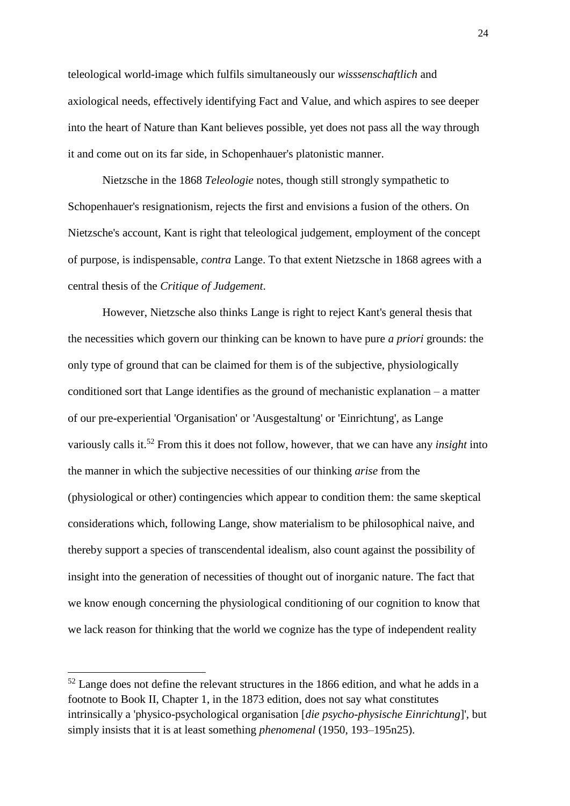teleological world-image which fulfils simultaneously our *wisssenschaftlich* and axiological needs, effectively identifying Fact and Value, and which aspires to see deeper into the heart of Nature than Kant believes possible, yet does not pass all the way through it and come out on its far side, in Schopenhauer's platonistic manner.

Nietzsche in the 1868 *Teleologie* notes, though still strongly sympathetic to Schopenhauer's resignationism, rejects the first and envisions a fusion of the others. On Nietzsche's account, Kant is right that teleological judgement, employment of the concept of purpose, is indispensable, *contra* Lange. To that extent Nietzsche in 1868 agrees with a central thesis of the *Critique of Judgement*.

However, Nietzsche also thinks Lange is right to reject Kant's general thesis that the necessities which govern our thinking can be known to have pure *a priori* grounds: the only type of ground that can be claimed for them is of the subjective, physiologically conditioned sort that Lange identifies as the ground of mechanistic explanation – a matter of our pre-experiential 'Organisation' or 'Ausgestaltung' or 'Einrichtung', as Lange variously calls it.<sup>52</sup> From this it does not follow, however, that we can have any *insight* into the manner in which the subjective necessities of our thinking *arise* from the (physiological or other) contingencies which appear to condition them: the same skeptical considerations which, following Lange, show materialism to be philosophical naive, and thereby support a species of transcendental idealism, also count against the possibility of insight into the generation of necessities of thought out of inorganic nature. The fact that we know enough concerning the physiological conditioning of our cognition to know that we lack reason for thinking that the world we cognize has the type of independent reality

<sup>52</sup> Lange does not define the relevant structures in the 1866 edition, and what he adds in a footnote to Book II, Chapter 1, in the 1873 edition, does not say what constitutes intrinsically a 'physico-psychological organisation [*die psycho-physische Einrichtung*]', but simply insists that it is at least something *phenomenal* (1950, 193–195n25).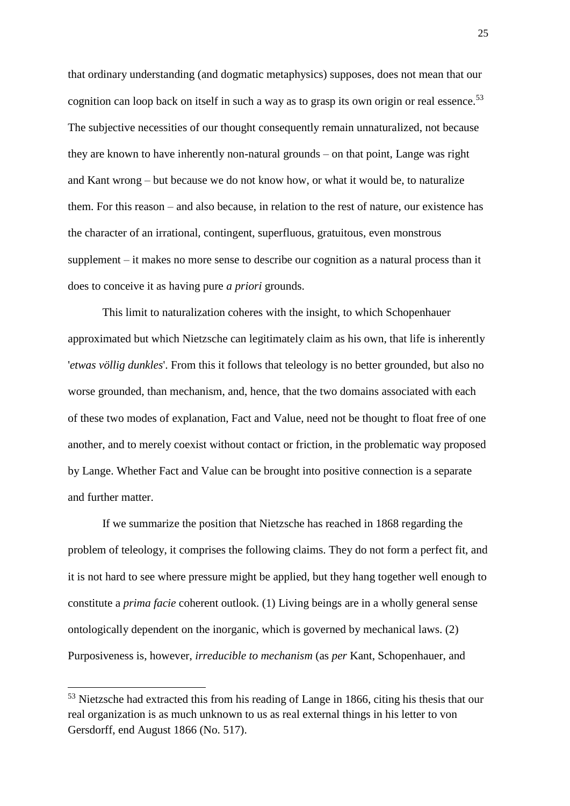that ordinary understanding (and dogmatic metaphysics) supposes, does not mean that our cognition can loop back on itself in such a way as to grasp its own origin or real essence.<sup>53</sup> The subjective necessities of our thought consequently remain unnaturalized, not because they are known to have inherently non-natural grounds – on that point, Lange was right and Kant wrong – but because we do not know how, or what it would be, to naturalize them. For this reason – and also because, in relation to the rest of nature, our existence has the character of an irrational, contingent, superfluous, gratuitous, even monstrous supplement – it makes no more sense to describe our cognition as a natural process than it does to conceive it as having pure *a priori* grounds.

This limit to naturalization coheres with the insight, to which Schopenhauer approximated but which Nietzsche can legitimately claim as his own, that life is inherently '*etwas völlig dunkles*'. From this it follows that teleology is no better grounded, but also no worse grounded, than mechanism, and, hence, that the two domains associated with each of these two modes of explanation, Fact and Value, need not be thought to float free of one another, and to merely coexist without contact or friction, in the problematic way proposed by Lange. Whether Fact and Value can be brought into positive connection is a separate and further matter.

If we summarize the position that Nietzsche has reached in 1868 regarding the problem of teleology, it comprises the following claims. They do not form a perfect fit, and it is not hard to see where pressure might be applied, but they hang together well enough to constitute a *prima facie* coherent outlook. (1) Living beings are in a wholly general sense ontologically dependent on the inorganic, which is governed by mechanical laws. (2) Purposiveness is, however, *irreducible to mechanism* (as *per* Kant, Schopenhauer, and

<sup>&</sup>lt;sup>53</sup> Nietzsche had extracted this from his reading of Lange in 1866, citing his thesis that our real organization is as much unknown to us as real external things in his letter to von Gersdorff, end August 1866 (No. 517).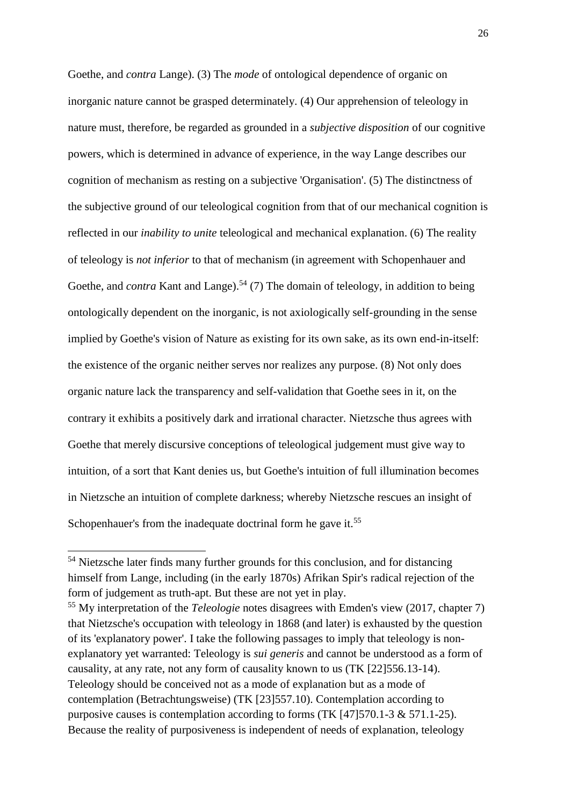Goethe, and *contra* Lange). (3) The *mode* of ontological dependence of organic on inorganic nature cannot be grasped determinately. (4) Our apprehension of teleology in nature must, therefore, be regarded as grounded in a *subjective disposition* of our cognitive powers, which is determined in advance of experience, in the way Lange describes our cognition of mechanism as resting on a subjective 'Organisation'. (5) The distinctness of the subjective ground of our teleological cognition from that of our mechanical cognition is reflected in our *inability to unite* teleological and mechanical explanation. (6) The reality of teleology is *not inferior* to that of mechanism (in agreement with Schopenhauer and Goethe, and *contra* Kant and Lange).<sup>54</sup> (7) The domain of teleology, in addition to being ontologically dependent on the inorganic, is not axiologically self-grounding in the sense implied by Goethe's vision of Nature as existing for its own sake, as its own end-in-itself: the existence of the organic neither serves nor realizes any purpose. (8) Not only does organic nature lack the transparency and self-validation that Goethe sees in it, on the contrary it exhibits a positively dark and irrational character. Nietzsche thus agrees with Goethe that merely discursive conceptions of teleological judgement must give way to intuition, of a sort that Kant denies us, but Goethe's intuition of full illumination becomes in Nietzsche an intuition of complete darkness; whereby Nietzsche rescues an insight of Schopenhauer's from the inadequate doctrinal form he gave it.<sup>55</sup>

<sup>&</sup>lt;sup>54</sup> Nietzsche later finds many further grounds for this conclusion, and for distancing himself from Lange, including (in the early 1870s) Afrikan Spir's radical rejection of the form of judgement as truth-apt. But these are not yet in play.

<sup>55</sup> My interpretation of the *Teleologie* notes disagrees with Emden's view (2017, chapter 7) that Nietzsche's occupation with teleology in 1868 (and later) is exhausted by the question of its 'explanatory power'. I take the following passages to imply that teleology is nonexplanatory yet warranted: Teleology is *sui generis* and cannot be understood as a form of causality, at any rate, not any form of causality known to us (TK [22]556.13-14). Teleology should be conceived not as a mode of explanation but as a mode of contemplation (Betrachtungsweise) (TK [23]557.10). Contemplation according to purposive causes is contemplation according to forms (TK [47]570.1-3 & 571.1-25). Because the reality of purposiveness is independent of needs of explanation, teleology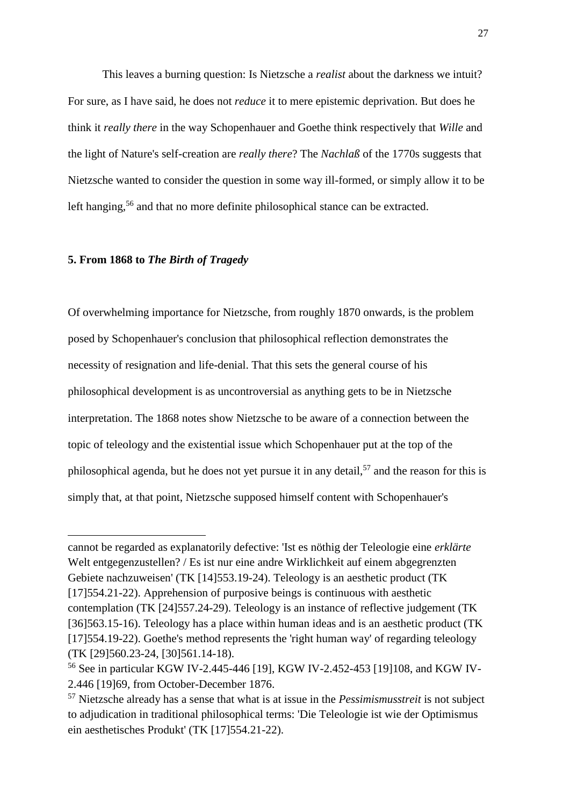This leaves a burning question: Is Nietzsche a *realist* about the darkness we intuit? For sure, as I have said, he does not *reduce* it to mere epistemic deprivation. But does he think it *really there* in the way Schopenhauer and Goethe think respectively that *Wille* and the light of Nature's self-creation are *really there*? The *Nachlaß* of the 1770s suggests that Nietzsche wanted to consider the question in some way ill-formed, or simply allow it to be left hanging,<sup>56</sup> and that no more definite philosophical stance can be extracted.

# **5. From 1868 to** *The Birth of Tragedy*

 $\overline{a}$ 

Of overwhelming importance for Nietzsche, from roughly 1870 onwards, is the problem posed by Schopenhauer's conclusion that philosophical reflection demonstrates the necessity of resignation and life-denial. That this sets the general course of his philosophical development is as uncontroversial as anything gets to be in Nietzsche interpretation. The 1868 notes show Nietzsche to be aware of a connection between the topic of teleology and the existential issue which Schopenhauer put at the top of the philosophical agenda, but he does not vet pursue it in any detail,  $57$  and the reason for this is simply that, at that point, Nietzsche supposed himself content with Schopenhauer's

cannot be regarded as explanatorily defective: 'Ist es nöthig der Teleologie eine *erklärte* Welt entgegenzustellen? / Es ist nur eine andre Wirklichkeit auf einem abgegrenzten Gebiete nachzuweisen' (TK [14]553.19-24). Teleology is an aesthetic product (TK [17]554.21-22). Apprehension of purposive beings is continuous with aesthetic contemplation (TK [24]557.24-29). Teleology is an instance of reflective judgement (TK [36]563.15-16). Teleology has a place within human ideas and is an aesthetic product (TK [17]554.19-22). Goethe's method represents the 'right human way' of regarding teleology (TK [29]560.23-24, [30]561.14-18).

<sup>56</sup> See in particular KGW IV-2.445-446 [19], KGW IV-2.452-453 [19]108, and KGW IV-2.446 [19]69, from October-December 1876.

<sup>57</sup> Nietzsche already has a sense that what is at issue in the *Pessimismusstreit* is not subject to adjudication in traditional philosophical terms: 'Die Teleologie ist wie der Optimismus ein aesthetisches Produkt' (TK [17]554.21-22).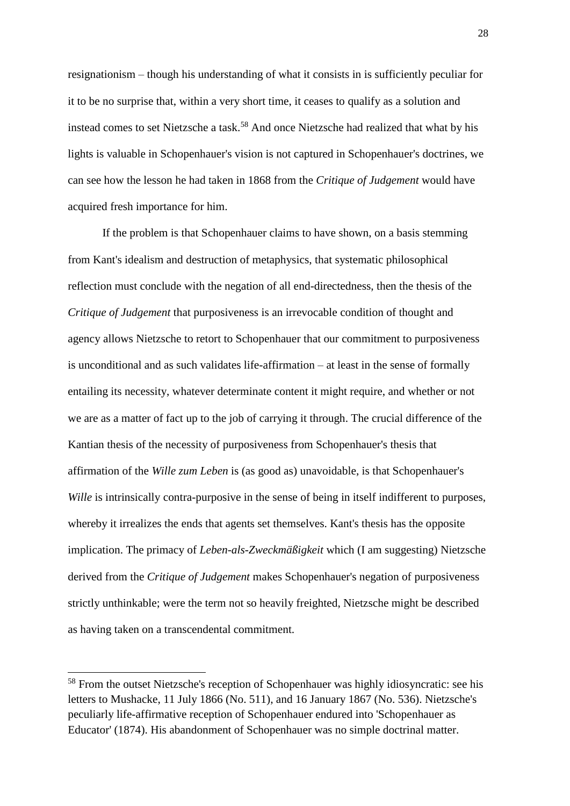resignationism – though his understanding of what it consists in is sufficiently peculiar for it to be no surprise that, within a very short time, it ceases to qualify as a solution and instead comes to set Nietzsche a task.<sup>58</sup> And once Nietzsche had realized that what by his lights is valuable in Schopenhauer's vision is not captured in Schopenhauer's doctrines, we can see how the lesson he had taken in 1868 from the *Critique of Judgement* would have acquired fresh importance for him.

If the problem is that Schopenhauer claims to have shown, on a basis stemming from Kant's idealism and destruction of metaphysics, that systematic philosophical reflection must conclude with the negation of all end-directedness, then the thesis of the *Critique of Judgement* that purposiveness is an irrevocable condition of thought and agency allows Nietzsche to retort to Schopenhauer that our commitment to purposiveness is unconditional and as such validates life-affirmation – at least in the sense of formally entailing its necessity, whatever determinate content it might require, and whether or not we are as a matter of fact up to the job of carrying it through. The crucial difference of the Kantian thesis of the necessity of purposiveness from Schopenhauer's thesis that affirmation of the *Wille zum Leben* is (as good as) unavoidable, is that Schopenhauer's *Wille* is intrinsically contra-purposive in the sense of being in itself indifferent to purposes, whereby it irrealizes the ends that agents set themselves. Kant's thesis has the opposite implication. The primacy of *Leben-als-Zweckmäßigkeit* which (I am suggesting) Nietzsche derived from the *Critique of Judgement* makes Schopenhauer's negation of purposiveness strictly unthinkable; were the term not so heavily freighted, Nietzsche might be described as having taken on a transcendental commitment.

<sup>58</sup> From the outset Nietzsche's reception of Schopenhauer was highly idiosyncratic: see his letters to Mushacke, 11 July 1866 (No. 511), and 16 January 1867 (No. 536). Nietzsche's peculiarly life-affirmative reception of Schopenhauer endured into 'Schopenhauer as Educator' (1874). His abandonment of Schopenhauer was no simple doctrinal matter.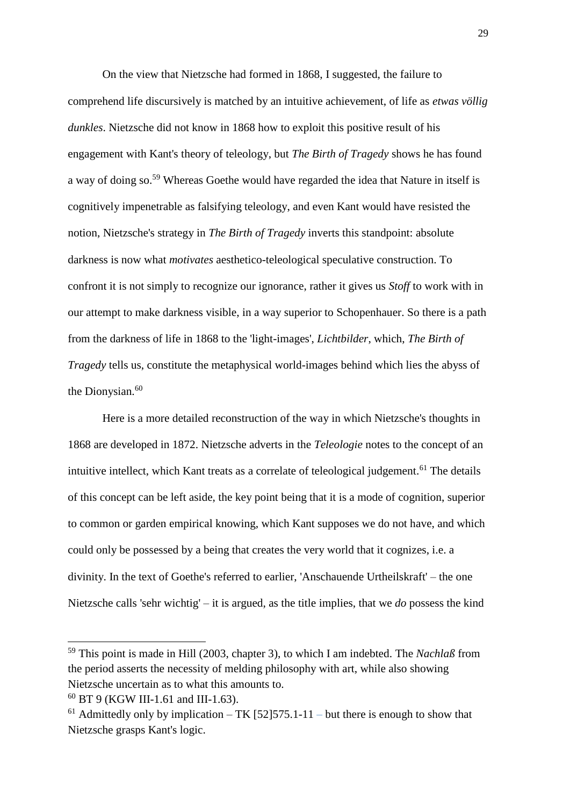On the view that Nietzsche had formed in 1868, I suggested, the failure to comprehend life discursively is matched by an intuitive achievement, of life as *etwas völlig dunkles*. Nietzsche did not know in 1868 how to exploit this positive result of his engagement with Kant's theory of teleology, but *The Birth of Tragedy* shows he has found a way of doing so.<sup>59</sup> Whereas Goethe would have regarded the idea that Nature in itself is cognitively impenetrable as falsifying teleology, and even Kant would have resisted the notion, Nietzsche's strategy in *The Birth of Tragedy* inverts this standpoint: absolute darkness is now what *motivates* aesthetico-teleological speculative construction. To confront it is not simply to recognize our ignorance, rather it gives us *Stoff* to work with in our attempt to make darkness visible, in a way superior to Schopenhauer. So there is a path from the darkness of life in 1868 to the 'light-images', *Lichtbilder*, which, *The Birth of Tragedy* tells us, constitute the metaphysical world-images behind which lies the abyss of the Dionysian.<sup>60</sup>

Here is a more detailed reconstruction of the way in which Nietzsche's thoughts in 1868 are developed in 1872. Nietzsche adverts in the *Teleologie* notes to the concept of an intuitive intellect, which Kant treats as a correlate of teleological judgement.<sup>61</sup> The details of this concept can be left aside, the key point being that it is a mode of cognition, superior to common or garden empirical knowing, which Kant supposes we do not have, and which could only be possessed by a being that creates the very world that it cognizes, i.e. a divinity. In the text of Goethe's referred to earlier, 'Anschauende Urtheilskraft' – the one Nietzsche calls 'sehr wichtig' – it is argued, as the title implies, that we *do* possess the kind

<sup>59</sup> This point is made in Hill (2003, chapter 3), to which I am indebted. The *Nachlaß* from the period asserts the necessity of melding philosophy with art, while also showing Nietzsche uncertain as to what this amounts to.

<sup>60</sup> BT 9 (KGW III-1.61 and III-1.63).

<sup>&</sup>lt;sup>61</sup> Admittedly only by implication – TK [52] 575.1-11 – but there is enough to show that Nietzsche grasps Kant's logic.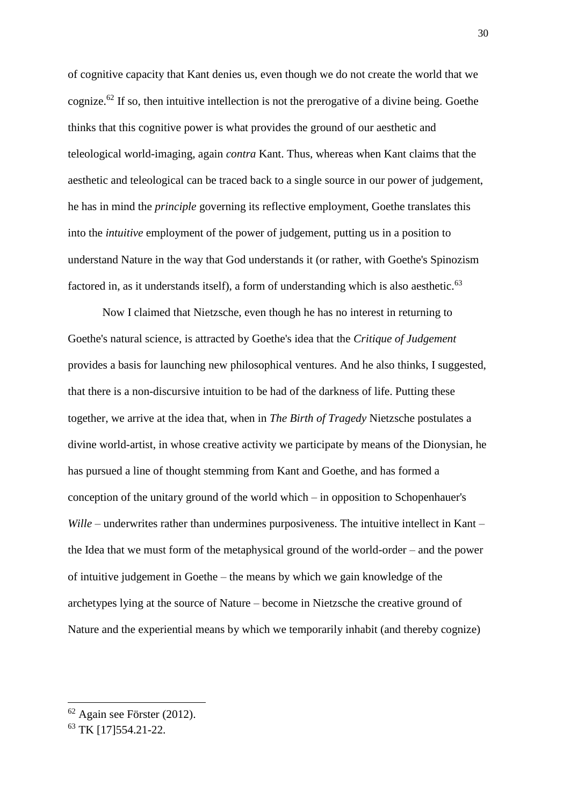of cognitive capacity that Kant denies us, even though we do not create the world that we cognize.<sup>62</sup> If so, then intuitive intellection is not the prerogative of a divine being. Goethe thinks that this cognitive power is what provides the ground of our aesthetic and teleological world-imaging, again *contra* Kant. Thus, whereas when Kant claims that the aesthetic and teleological can be traced back to a single source in our power of judgement, he has in mind the *principle* governing its reflective employment, Goethe translates this into the *intuitive* employment of the power of judgement, putting us in a position to understand Nature in the way that God understands it (or rather, with Goethe's Spinozism factored in, as it understands itself), a form of understanding which is also aesthetic. $63$ 

Now I claimed that Nietzsche, even though he has no interest in returning to Goethe's natural science, is attracted by Goethe's idea that the *Critique of Judgement* provides a basis for launching new philosophical ventures. And he also thinks, I suggested, that there is a non-discursive intuition to be had of the darkness of life. Putting these together, we arrive at the idea that, when in *The Birth of Tragedy* Nietzsche postulates a divine world-artist, in whose creative activity we participate by means of the Dionysian, he has pursued a line of thought stemming from Kant and Goethe, and has formed a conception of the unitary ground of the world which – in opposition to Schopenhauer's *Wille* – underwrites rather than undermines purposiveness. The intuitive intellect in Kant – the Idea that we must form of the metaphysical ground of the world-order – and the power of intuitive judgement in Goethe – the means by which we gain knowledge of the archetypes lying at the source of Nature – become in Nietzsche the creative ground of Nature and the experiential means by which we temporarily inhabit (and thereby cognize)

 $62$  Again see Förster (2012).

<sup>63</sup> TK [17]554.21-22.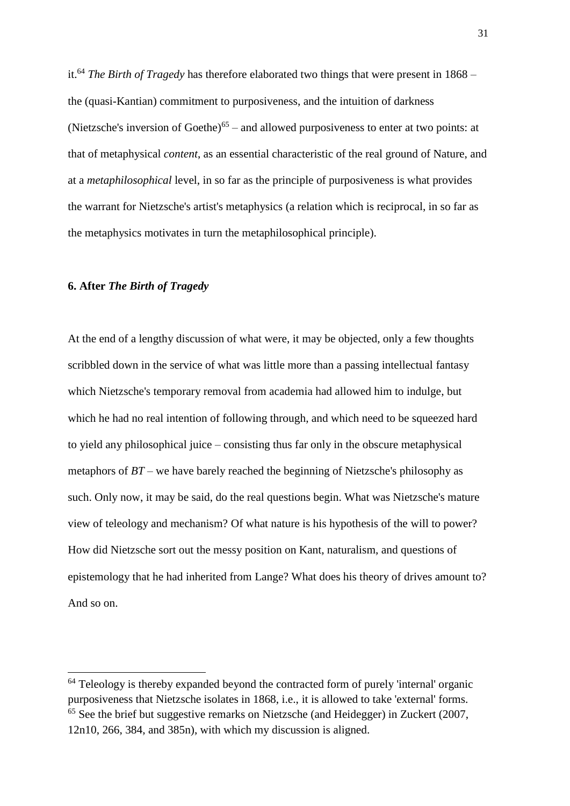it.<sup>64</sup> *The Birth of Tragedy* has therefore elaborated two things that were present in 1868 – the (quasi-Kantian) commitment to purposiveness, and the intuition of darkness (Nietzsche's inversion of Goethe) $<sup>65</sup>$  – and allowed purposiveness to enter at two points: at</sup> that of metaphysical *content*, as an essential characteristic of the real ground of Nature, and at a *metaphilosophical* level, in so far as the principle of purposiveness is what provides the warrant for Nietzsche's artist's metaphysics (a relation which is reciprocal, in so far as the metaphysics motivates in turn the metaphilosophical principle).

## **6. After** *The Birth of Tragedy*

l

At the end of a lengthy discussion of what were, it may be objected, only a few thoughts scribbled down in the service of what was little more than a passing intellectual fantasy which Nietzsche's temporary removal from academia had allowed him to indulge, but which he had no real intention of following through, and which need to be squeezed hard to yield any philosophical juice – consisting thus far only in the obscure metaphysical metaphors of *BT* – we have barely reached the beginning of Nietzsche's philosophy as such. Only now, it may be said, do the real questions begin. What was Nietzsche's mature view of teleology and mechanism? Of what nature is his hypothesis of the will to power? How did Nietzsche sort out the messy position on Kant, naturalism, and questions of epistemology that he had inherited from Lange? What does his theory of drives amount to? And so on.

<sup>&</sup>lt;sup>64</sup> Teleology is thereby expanded beyond the contracted form of purely 'internal' organic purposiveness that Nietzsche isolates in 1868, i.e., it is allowed to take 'external' forms. <sup>65</sup> See the brief but suggestive remarks on Nietzsche (and Heidegger) in Zuckert (2007, 12n10, 266, 384, and 385n), with which my discussion is aligned.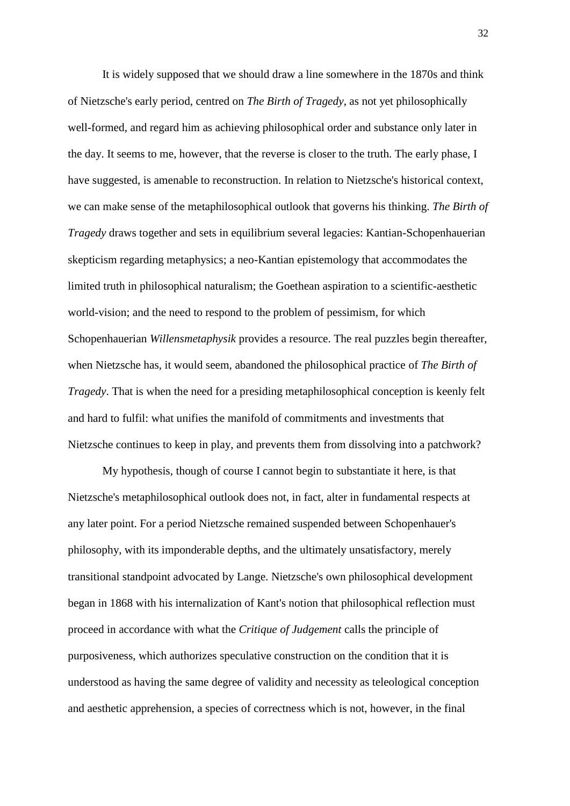It is widely supposed that we should draw a line somewhere in the 1870s and think of Nietzsche's early period, centred on *The Birth of Tragedy*, as not yet philosophically well-formed, and regard him as achieving philosophical order and substance only later in the day. It seems to me, however, that the reverse is closer to the truth. The early phase, I have suggested, is amenable to reconstruction. In relation to Nietzsche's historical context, we can make sense of the metaphilosophical outlook that governs his thinking. *The Birth of Tragedy* draws together and sets in equilibrium several legacies: Kantian-Schopenhauerian skepticism regarding metaphysics; a neo-Kantian epistemology that accommodates the limited truth in philosophical naturalism; the Goethean aspiration to a scientific-aesthetic world-vision; and the need to respond to the problem of pessimism, for which Schopenhauerian *Willensmetaphysik* provides a resource. The real puzzles begin thereafter, when Nietzsche has, it would seem, abandoned the philosophical practice of *The Birth of Tragedy*. That is when the need for a presiding metaphilosophical conception is keenly felt and hard to fulfil: what unifies the manifold of commitments and investments that Nietzsche continues to keep in play, and prevents them from dissolving into a patchwork?

My hypothesis, though of course I cannot begin to substantiate it here, is that Nietzsche's metaphilosophical outlook does not, in fact, alter in fundamental respects at any later point. For a period Nietzsche remained suspended between Schopenhauer's philosophy, with its imponderable depths, and the ultimately unsatisfactory, merely transitional standpoint advocated by Lange. Nietzsche's own philosophical development began in 1868 with his internalization of Kant's notion that philosophical reflection must proceed in accordance with what the *Critique of Judgement* calls the principle of purposiveness, which authorizes speculative construction on the condition that it is understood as having the same degree of validity and necessity as teleological conception and aesthetic apprehension, a species of correctness which is not, however, in the final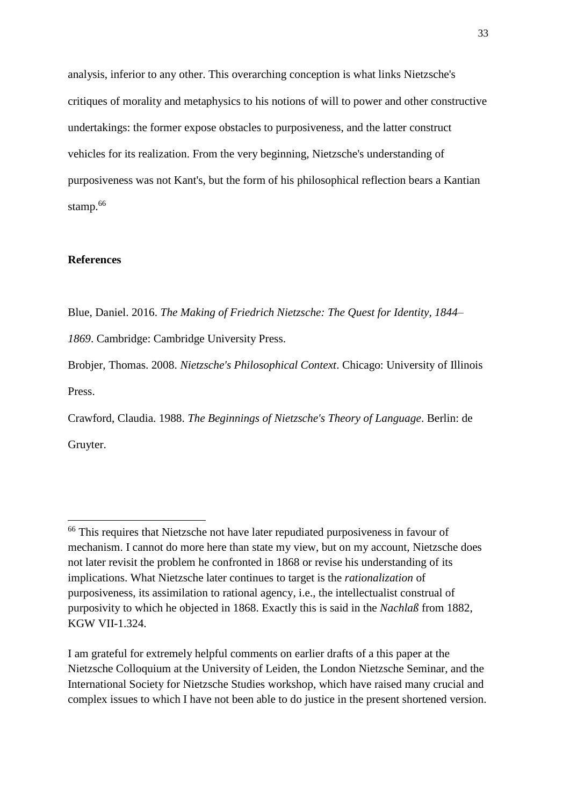analysis, inferior to any other. This overarching conception is what links Nietzsche's critiques of morality and metaphysics to his notions of will to power and other constructive undertakings: the former expose obstacles to purposiveness, and the latter construct vehicles for its realization. From the very beginning, Nietzsche's understanding of purposiveness was not Kant's, but the form of his philosophical reflection bears a Kantian stamp.<sup>66</sup>

# **References**

l

Blue, Daniel. 2016. *The Making of Friedrich Nietzsche: The Quest for Identity, 1844– 1869*. Cambridge: Cambridge University Press.

Brobjer, Thomas. 2008. *Nietzsche's Philosophical Context*. Chicago: University of Illinois Press.

Crawford, Claudia. 1988. *The Beginnings of Nietzsche's Theory of Language*. Berlin: de Gruyter.

<sup>&</sup>lt;sup>66</sup> This requires that Nietzsche not have later repudiated purposiveness in favour of mechanism. I cannot do more here than state my view, but on my account, Nietzsche does not later revisit the problem he confronted in 1868 or revise his understanding of its implications. What Nietzsche later continues to target is the *rationalization* of purposiveness, its assimilation to rational agency, i.e., the intellectualist construal of purposivity to which he objected in 1868. Exactly this is said in the *Nachlaß* from 1882, KGW VII-1.324.

I am grateful for extremely helpful comments on earlier drafts of a this paper at the Nietzsche Colloquium at the University of Leiden, the London Nietzsche Seminar, and the International Society for Nietzsche Studies workshop, which have raised many crucial and complex issues to which I have not been able to do justice in the present shortened version.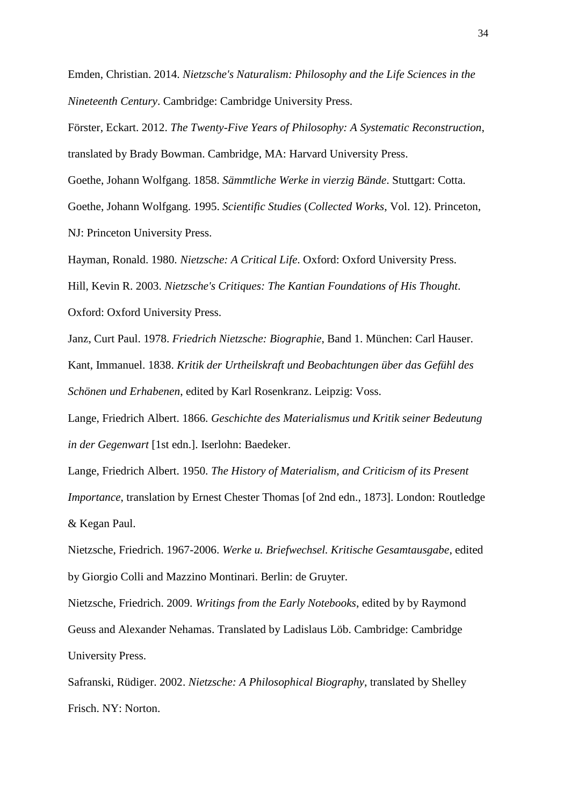Emden, Christian. 2014. *Nietzsche's Naturalism: Philosophy and the Life Sciences in the Nineteenth Century*. Cambridge: Cambridge University Press.

Förster, Eckart. 2012. *The Twenty-Five Years of Philosophy: A Systematic Reconstruction*, translated by Brady Bowman. Cambridge, MA: Harvard University Press. Goethe, Johann Wolfgang. 1858. *Sämmtliche Werke in vierzig Bände*. Stuttgart: Cotta. Goethe, Johann Wolfgang. 1995. *Scientific Studies* (*Collected Works*, Vol. 12). Princeton, NJ: Princeton University Press.

Hayman, Ronald. 1980. *Nietzsche: A Critical Life*. Oxford: Oxford University Press. Hill, Kevin R. 2003. *Nietzsche's Critiques: The Kantian Foundations of His Thought*. Oxford: Oxford University Press.

Janz, Curt Paul. 1978. *Friedrich Nietzsche: Biographie*, Band 1. München: Carl Hauser. Kant, Immanuel. 1838. *Kritik der Urtheilskraft und Beobachtungen über das Gefühl des Schönen und Erhabenen*, edited by Karl Rosenkranz. Leipzig: Voss.

Lange, Friedrich Albert. 1866. *Geschichte des Materialismus und Kritik seiner Bedeutung in der Gegenwart* [1st edn.]. Iserlohn: Baedeker.

Lange, Friedrich Albert. 1950. *The History of Materialism, and Criticism of its Present Importance*, translation by Ernest Chester Thomas [of 2nd edn., 1873]. London: Routledge & Kegan Paul.

Nietzsche, Friedrich. 1967-2006. *Werke u. Briefwechsel. Kritische Gesamtausgabe*, edited by Giorgio Colli and Mazzino Montinari. Berlin: de Gruyter.

Nietzsche, Friedrich. 2009. *Writings from the Early Notebooks*, edited by by Raymond Geuss and Alexander Nehamas. Translated by Ladislaus Löb. Cambridge: Cambridge University Press.

Safranski, Rüdiger. 2002. *Nietzsche: A Philosophical Biography*, translated by Shelley Frisch. NY: Norton.